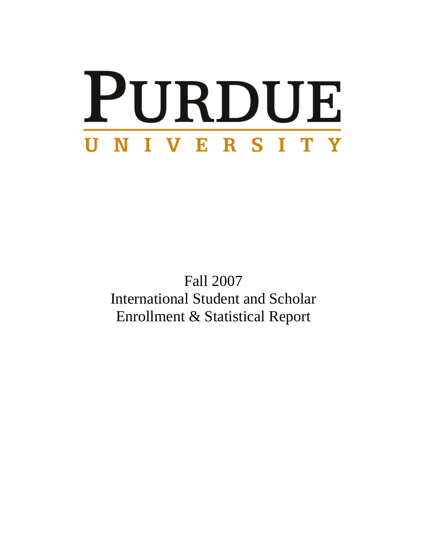# PURDUE UNIVERSITY

Fall 2007 International Student and Scholar Enrollment & Statistical Report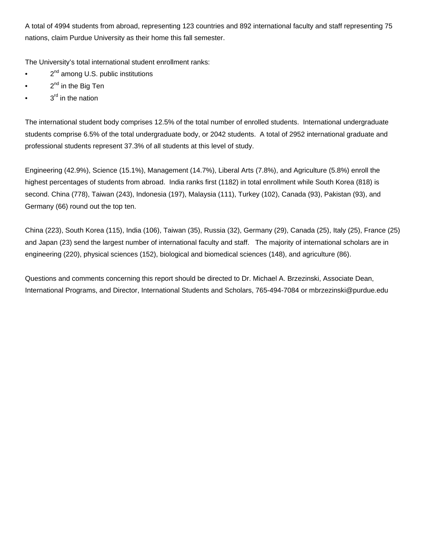A total of 4994 students from abroad, representing 123 countries and 892 international faculty and staff representing 75 nations, claim Purdue University as their home this fall semester.

The University's total international student enrollment ranks:

- $\bullet$  2<sup>nd</sup> among U.S. public institutions
- $\bullet$  2<sup>nd</sup> in the Big Ten
- $3<sup>rd</sup>$  in the nation

The international student body comprises 12.5% of the total number of enrolled students. International undergraduate students comprise 6.5% of the total undergraduate body, or 2042 students. A total of 2952 international graduate and professional students represent 37.3% of all students at this level of study.

Engineering (42.9%), Science (15.1%), Management (14.7%), Liberal Arts (7.8%), and Agriculture (5.8%) enroll the highest percentages of students from abroad. India ranks first (1182) in total enrollment while South Korea (818) is second. China (778), Taiwan (243), Indonesia (197), Malaysia (111), Turkey (102), Canada (93), Pakistan (93), and Germany (66) round out the top ten.

China (223), South Korea (115), India (106), Taiwan (35), Russia (32), Germany (29), Canada (25), Italy (25), France (25) and Japan (23) send the largest number of international faculty and staff. The majority of international scholars are in engineering (220), physical sciences (152), biological and biomedical sciences (148), and agriculture (86).

Questions and comments concerning this report should be directed to Dr. Michael A. Brzezinski, Associate Dean, International Programs, and Director, International Students and Scholars, 765-494-7084 or mbrzezinski@purdue.edu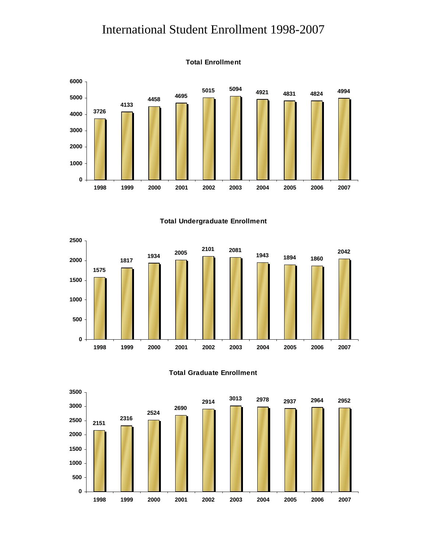#### International Student Enrollment 1998-2007



**Total Undergraduate Enrollment**





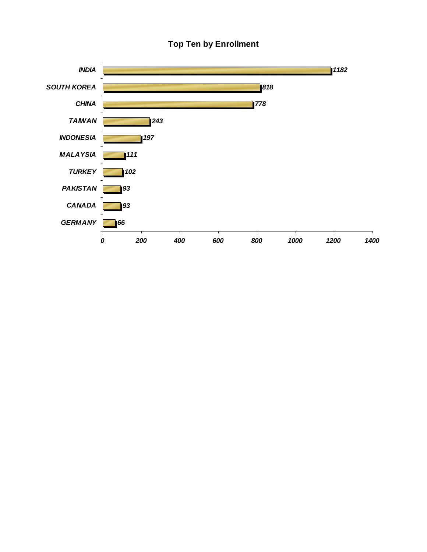#### **Top Ten by Enrollment**

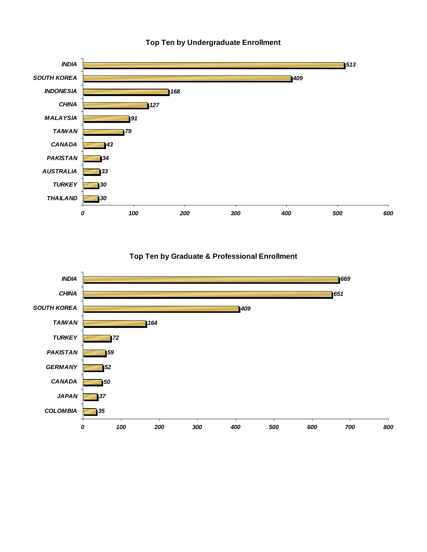

**Top Ten by Undergraduate Enrollment**

**Top Ten by Graduate & Professional Enrollment**

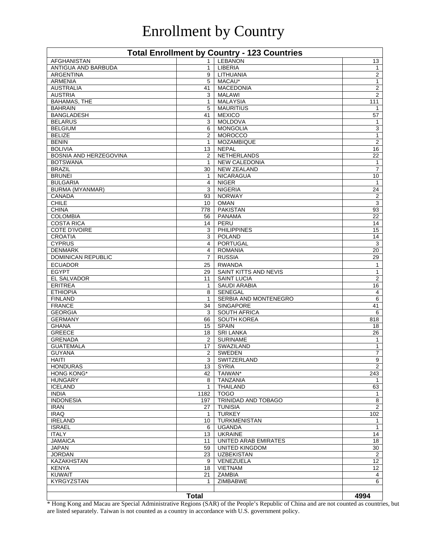## Enrollment by Country

| <b>Total Enrollment by Country - 123 Countries</b> |                       |                                             |                                |  |
|----------------------------------------------------|-----------------------|---------------------------------------------|--------------------------------|--|
| <b>AFGHANISTAN</b>                                 | 1                     | <b>LEBANON</b>                              | 13                             |  |
| ANTIGUA AND BARBUDA                                | $\mathbf{1}$          | <b>LIBERIA</b>                              | $\mathbf{1}$                   |  |
| <b>ARGENTINA</b>                                   | 9                     | LITHUANIA                                   | $\overline{2}$                 |  |
| <b>ARMENIA</b>                                     | 5                     | MACAU*                                      | $\mathbf{1}$                   |  |
| <b>AUSTRALIA</b><br><b>AUSTRIA</b>                 | 41<br>3               | <b>MACEDONIA</b><br><b>MALAWI</b>           | $\overline{2}$<br>2            |  |
| <b>BAHAMAS, THE</b>                                | 1                     | <b>MALAYSIA</b>                             | 111                            |  |
| <b>BAHRAIN</b>                                     | 5                     | <b>MAURITIUS</b>                            | 1                              |  |
| <b>BANGLADESH</b>                                  | 41                    | <b>MEXICO</b>                               | 57                             |  |
| <b>BELARUS</b>                                     | 3                     | <b>MOLDOVA</b>                              | 1                              |  |
| <b>BELGIUM</b>                                     | 6                     | <b>MONGOLIA</b>                             | 3                              |  |
| <b>BELIZE</b>                                      | $\overline{2}$        | <b>MOROCCO</b>                              | 1                              |  |
| <b>BENIN</b>                                       | 1                     | MOZAMBIQUE                                  | $\overline{2}$                 |  |
| <b>BOLIVIA</b>                                     | 13                    | <b>NEPAL</b>                                | 16                             |  |
| BOSNIA AND HERZEGOVINA                             | $\overline{2}$        | <b>NETHERLANDS</b>                          | 22                             |  |
| <b>BOTSWANA</b>                                    | $\mathbf{1}$          | <b>NEW CALEDONIA</b>                        | 1                              |  |
| <b>BRAZIL</b><br><b>BRUNEI</b>                     | 30<br>1               | <b>NEW ZEALAND</b><br><b>NICARAGUA</b>      | $\overline{7}$<br>10           |  |
| <b>BULGARIA</b>                                    | 4                     | <b>NIGER</b>                                | 1                              |  |
| <b>BURMA (MYANMAR)</b>                             | 3                     | <b>NIGERIA</b>                              | 24                             |  |
| <b>CANADA</b>                                      | 93                    | <b>NORWAY</b>                               | $\sqrt{2}$                     |  |
| <b>CHILE</b>                                       | 10                    | <b>OMAN</b>                                 | 3                              |  |
| <b>CHINA</b>                                       | 778                   | <b>PAKISTAN</b>                             | 93                             |  |
| <b>COLOMBIA</b>                                    | 56                    | <b>PANAMA</b>                               | 22                             |  |
| <b>COSTA RICA</b>                                  | 14                    | PERU                                        | 14                             |  |
| <b>COTE D'IVOIRE</b>                               | 3                     | <b>PHILIPPINES</b>                          | 15                             |  |
| <b>CROATIA</b>                                     | 3                     | <b>POLAND</b>                               | 14                             |  |
| <b>CYPRUS</b>                                      | 4                     | <b>PORTUGAL</b>                             | 3                              |  |
| <b>DENMARK</b>                                     | 4                     | <b>ROMANIA</b>                              | 20<br>29                       |  |
| <b>DOMINICAN REPUBLIC</b>                          | 7                     | <b>RUSSIA</b>                               |                                |  |
| <b>ECUADOR</b>                                     | 25                    | <b>RWANDA</b>                               | 1                              |  |
| <b>EGYPT</b><br><b>EL SALVADOR</b>                 | 29<br>11              | SAINT KITTS AND NEVIS<br><b>SAINT LUCIA</b> | $\mathbf{1}$<br>$\overline{2}$ |  |
| <b>ERITREA</b>                                     | 1                     | <b>SAUDI ARABIA</b>                         | 16                             |  |
| <b>ETHIOPIA</b>                                    | 8                     | <b>SENEGAL</b>                              | 4                              |  |
| <b>FINLAND</b>                                     | 1                     | SERBIA AND MONTENEGRO                       | 6                              |  |
| <b>FRANCE</b>                                      | 34                    | <b>SINGAPORE</b>                            | 41                             |  |
| <b>GEORGIA</b>                                     | 3                     | <b>SOUTH AFRICA</b>                         | 6                              |  |
| <b>GERMANY</b>                                     | 66                    | <b>SOUTH KOREA</b>                          | 818                            |  |
| <b>GHANA</b>                                       | 15                    | <b>SPAIN</b>                                | 18                             |  |
| <b>GREECE</b>                                      | 18                    | <b>SRI LANKA</b>                            | 26                             |  |
| <b>GRENADA</b>                                     | 2                     | <b>SURINAME</b>                             | 1                              |  |
| <b>GUATEMALA</b>                                   | 17                    | SWAZILAND                                   | $\mathbf{1}$                   |  |
| <b>GUYANA</b><br><b>HAITI</b>                      | 2<br>3                | <b>SWEDEN</b><br>SWITZERLAND                | 7<br>9                         |  |
| <b>HONDURAS</b>                                    | 13                    | <b>SYRIA</b>                                | $\overline{2}$                 |  |
| HONG KONG*                                         | 42                    | TAIWAN*                                     | 243                            |  |
| <b>HUNGARY</b>                                     | 8                     | <b>TANZANIA</b>                             | $\mathbf{1}$                   |  |
| <b>ICELAND</b>                                     | $\mathbf{1}$          | <b>THAILAND</b>                             | 63                             |  |
| <b>INDIA</b>                                       | 1182                  | <b>TOGO</b>                                 | $\mathbf{1}$                   |  |
| <b>INDONESIA</b>                                   | 197                   | TRINIDAD AND TOBAGO                         | 8                              |  |
| <b>IRAN</b>                                        | 27                    | <b>TUNISIA</b>                              | $\overline{2}$                 |  |
| <b>IRAQ</b>                                        | $\mathbf{1}$          | <b>TURKEY</b>                               | 102                            |  |
| <b>IRELAND</b>                                     | 10                    | TURKMENISTAN                                | $\mathbf{1}$                   |  |
| <b>ISRAEL</b>                                      | 6                     | <b>UGANDA</b><br><b>UKRAINE</b>             | $\mathbf{1}$                   |  |
| <b>ITALY</b><br><b>JAMAICA</b>                     | 13 <sup>2</sup><br>11 | UNITED ARAB EMIRATES                        | 14<br>18                       |  |
| <b>JAPAN</b>                                       | 59                    | <b>UNITED KINGDOM</b>                       | 30                             |  |
| JORDAN                                             | 23                    | <b>UZBEKISTAN</b>                           | $\overline{2}$                 |  |
| KAZAKHSTAN                                         | 9                     | VENEZUELA                                   | 12                             |  |
| <b>KENYA</b>                                       | 18                    | VIETNAM                                     | 12                             |  |
| <b>KUWAIT</b>                                      | 21                    | ZAMBIA                                      | 4                              |  |
| KYRGYZSTAN                                         | 1                     | ZIMBABWE                                    | 6                              |  |
|                                                    |                       |                                             |                                |  |
|                                                    | <b>Total</b>          |                                             | 4994                           |  |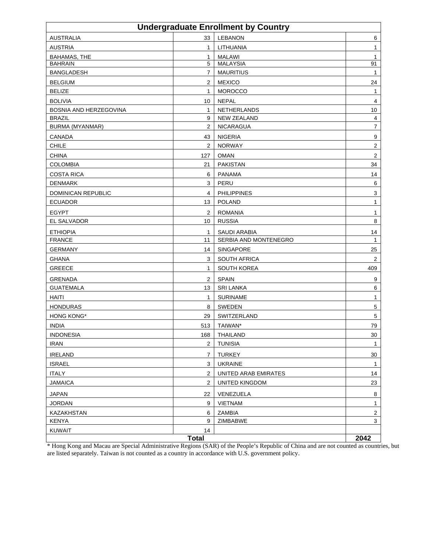| <b>Undergraduate Enrollment by Country</b> |                |                       |                         |  |
|--------------------------------------------|----------------|-----------------------|-------------------------|--|
| <b>AUSTRALIA</b>                           | 33             | <b>LEBANON</b>        | 6                       |  |
| <b>AUSTRIA</b>                             | $\mathbf{1}$   | LITHUANIA             | 1                       |  |
| <b>BAHAMAS, THE</b>                        | $\mathbf{1}$   | <b>MALAWI</b>         | 1                       |  |
| <b>BAHRAIN</b>                             | 5              | <b>MALAYSIA</b>       | 91                      |  |
| <b>BANGLADESH</b>                          | $\overline{7}$ | <b>MAURITIUS</b>      | 1                       |  |
| <b>BELGIUM</b>                             | 2              | <b>MEXICO</b>         | 24                      |  |
| <b>BELIZE</b>                              | $\mathbf{1}$   | <b>MOROCCO</b>        | 1                       |  |
| <b>BOLIVIA</b>                             | 10             | <b>NEPAL</b>          | 4                       |  |
| BOSNIA AND HERZEGOVINA                     | $\mathbf{1}$   | NETHERLANDS           | 10                      |  |
| <b>BRAZIL</b>                              | 9              | <b>NEW ZEALAND</b>    | 4                       |  |
| <b>BURMA (MYANMAR)</b>                     | $\overline{2}$ | NICARAGUA             | 7                       |  |
| <b>CANADA</b>                              | 43             | <b>NIGERIA</b>        | 9                       |  |
| <b>CHILE</b>                               | 2              | <b>NORWAY</b>         | 2                       |  |
| <b>CHINA</b>                               | 127            | <b>OMAN</b>           | $\overline{\mathbf{c}}$ |  |
| <b>COLOMBIA</b>                            | 21             | <b>PAKISTAN</b>       | 34                      |  |
| <b>COSTA RICA</b>                          | 6              | <b>PANAMA</b>         | 14                      |  |
| <b>DENMARK</b>                             | 3              | PERU                  | 6                       |  |
| <b>DOMINICAN REPUBLIC</b>                  | 4              | <b>PHILIPPINES</b>    | 3                       |  |
| <b>ECUADOR</b>                             | 13             | <b>POLAND</b>         | 1                       |  |
| <b>EGYPT</b>                               | 2              | <b>ROMANIA</b>        | 1                       |  |
| EL SALVADOR                                | 10             | <b>RUSSIA</b>         | 8                       |  |
| <b>ETHIOPIA</b>                            | $\mathbf{1}$   | <b>SAUDI ARABIA</b>   | 14                      |  |
| <b>FRANCE</b>                              | 11             | SERBIA AND MONTENEGRO | $\mathbf{1}$            |  |
| <b>GERMANY</b>                             | 14             | SINGAPORE             | 25                      |  |
| <b>GHANA</b>                               | 3              | SOUTH AFRICA          | 2                       |  |
| GREECE                                     | $\mathbf{1}$   | SOUTH KOREA           | 409                     |  |
| <b>GRENADA</b>                             | 2              | <b>SPAIN</b>          | 9                       |  |
| <b>GUATEMALA</b>                           | 13             | <b>SRI LANKA</b>      | 6                       |  |
| <b>HAITI</b>                               | $\mathbf{1}$   | <b>SURINAME</b>       | 1                       |  |
| <b>HONDURAS</b>                            | 8              | <b>SWEDEN</b>         | 5                       |  |
| <b>HONG KONG*</b>                          | 29             | SWITZERLAND           | 5                       |  |
| <b>INDIA</b>                               | 513            | TAIWAN*               | 79                      |  |
| <b>INDONESIA</b>                           | 168            | <b>THAILAND</b>       | 30                      |  |
| <b>IRAN</b>                                | $\overline{2}$ | <b>TUNISIA</b>        | 1                       |  |
| <b>IRELAND</b>                             | 7              | <b>TURKEY</b>         | 30                      |  |
|                                            | 3              |                       |                         |  |
| <b>ISRAEL</b>                              |                | <b>UKRAINE</b>        | 1                       |  |
| <b>ITALY</b>                               | $\sqrt{2}$     | UNITED ARAB EMIRATES  | 14                      |  |
| <b>JAMAICA</b>                             | 2              | <b>UNITED KINGDOM</b> | 23                      |  |
| <b>JAPAN</b>                               | 22             | VENEZUELA             | 8                       |  |
| <b>JORDAN</b>                              | 9              | <b>VIETNAM</b>        | $\mathbf{1}$            |  |
| KAZAKHSTAN                                 | 6              | ZAMBIA                | $\overline{c}$          |  |
| <b>KENYA</b>                               | 9              | ZIMBABWE              | 3                       |  |
| <b>KUWAIT</b>                              | 14             |                       | 2042                    |  |
| <b>Total</b>                               |                |                       |                         |  |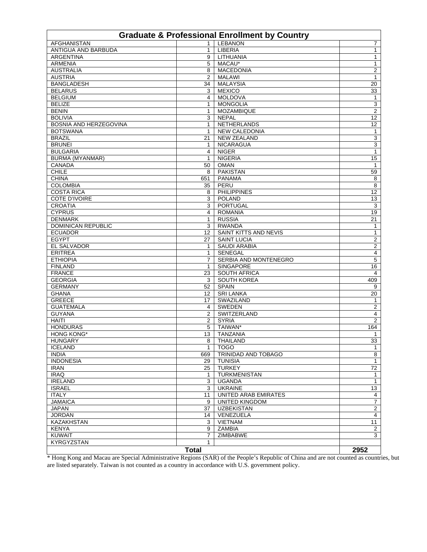| <b>Graduate &amp; Professional Enrollment by Country</b> |                |                              |                         |  |
|----------------------------------------------------------|----------------|------------------------------|-------------------------|--|
| <b>AFGHANISTAN</b>                                       | $\mathbf{1}$   | <b>LEBANON</b>               | 7                       |  |
| ANTIGUA AND BARBUDA                                      | $\mathbf{1}$   | LIBERIA                      | 1                       |  |
| <b>ARGENTINA</b>                                         | 9              | LITHUANIA                    | 1                       |  |
| <b>ARMENIA</b>                                           | 5              | MACAU*                       | 1                       |  |
| <b>AUSTRALIA</b>                                         | 8              | <b>MACEDONIA</b>             | 2                       |  |
| <b>AUSTRIA</b>                                           | $\overline{2}$ | <b>MALAWI</b>                | $\mathbf{1}$            |  |
| <b>BANGLADESH</b>                                        | 34             | <b>MALAYSIA</b>              | 20                      |  |
| <b>BELARUS</b>                                           | 3              | <b>MEXICO</b>                | 33                      |  |
| <b>BELGIUM</b>                                           | 4              | <b>MOLDOVA</b>               | $\mathbf{1}$            |  |
| <b>BELIZE</b>                                            | $\mathbf{1}$   | <b>MONGOLIA</b>              | $\mathbf{3}$            |  |
| <b>BENIN</b>                                             | $\mathbf{1}$   | <b>MOZAMBIQUE</b>            | 2                       |  |
| <b>BOLIVIA</b>                                           | 3              | <b>NEPAL</b>                 | 12                      |  |
| BOSNIA AND HERZEGOVINA                                   | $\mathbf{1}$   | <b>NETHERLANDS</b>           | 12                      |  |
| <b>BOTSWANA</b>                                          | 1              | <b>NEW CALEDONIA</b>         | $\mathbf{1}$            |  |
| <b>BRAZIL</b>                                            | 21             | <b>NEW ZEALAND</b>           | $\mathbf{3}$            |  |
| <b>BRUNEI</b>                                            | $\mathbf{1}$   | <b>NICARAGUA</b>             | $\overline{3}$          |  |
| <b>BULGARIA</b>                                          | 4              | <b>NIGER</b>                 | 1                       |  |
| <b>BURMA (MYANMAR)</b>                                   | 1              | <b>NIGERIA</b>               | 15                      |  |
| <b>CANADA</b>                                            | 50             | <b>OMAN</b>                  | 1                       |  |
| <b>CHILE</b>                                             | 8              | <b>PAKISTAN</b>              | 59                      |  |
| <b>CHINA</b>                                             | 651            | <b>PANAMA</b>                | 8                       |  |
| <b>COLOMBIA</b>                                          | 35             | PERU                         | 8                       |  |
| <b>COSTA RICA</b>                                        | 8              | <b>PHILIPPINES</b>           | 12                      |  |
| COTE D'IVOIRE                                            | 3              | <b>POLAND</b>                | 13                      |  |
| <b>CROATIA</b>                                           | 3              | PORTUGAL                     | 3                       |  |
| <b>CYPRUS</b>                                            | 4              | <b>ROMANIA</b>               | 19                      |  |
| <b>DENMARK</b>                                           | 1              | <b>RUSSIA</b>                | $\overline{21}$         |  |
| <b>DOMINICAN REPUBLIC</b>                                | 3              | <b>RWANDA</b>                | 1                       |  |
| <b>ECUADOR</b>                                           | 12             | <b>SAINT KITTS AND NEVIS</b> | 1                       |  |
| <b>EGYPT</b>                                             | 27             | <b>SAINT LUCIA</b>           | $\overline{\mathbf{c}}$ |  |
| EL SALVADOR                                              | 1              | <b>SAUDI ARABIA</b>          | 2                       |  |
| <b>ERITREA</b>                                           | $\mathbf{1}$   | <b>SENEGAL</b>               | 4                       |  |
| <b>ETHIOPIA</b>                                          | 7              | SERBIA AND MONTENEGRO        | 5                       |  |
| <b>FINLAND</b>                                           | $\mathbf{1}$   | <b>SINGAPORE</b>             | 16                      |  |
| <b>FRANCE</b>                                            | 23             | <b>SOUTH AFRICA</b>          | 4                       |  |
| <b>GEORGIA</b>                                           | 3              | <b>SOUTH KOREA</b>           | 409                     |  |
| <b>GERMANY</b>                                           | 52             | <b>SPAIN</b>                 | 9                       |  |
| <b>GHANA</b>                                             | 12             | <b>SRI LANKA</b>             | 20                      |  |
| <b>GREECE</b>                                            | 17             | SWAZILAND                    | $\mathbf{1}$            |  |
| <b>GUATEMALA</b>                                         | 4              | <b>SWEDEN</b>                | $\overline{2}$          |  |
| <b>GUYANA</b>                                            | $\overline{2}$ | SWITZERLAND                  | 4                       |  |
| <b>HAITI</b>                                             | $\overline{2}$ | <b>SYRIA</b>                 | 2                       |  |
| <b>HONDURAS</b>                                          | 5              | TAIWAN*                      | 164                     |  |
| <b>HONG KONG*</b>                                        | 13             | <b>TANZANIA</b>              |                         |  |
| <b>HUNGARY</b>                                           |                |                              | 1                       |  |
|                                                          |                | 8 THAILAND                   | 33                      |  |
| <b>ICELAND</b>                                           | $\mathbf{1}$   | TOGO                         | $\mathbf{1}$            |  |
| <b>INDIA</b>                                             | 669            | TRINIDAD AND TOBAGO          | 8                       |  |
| <b>INDONESIA</b>                                         | 29             | <b>TUNISIA</b>               | $\mathbf{1}$            |  |
| <b>IRAN</b>                                              | 25             | <b>TURKEY</b>                | 72                      |  |
| <b>IRAQ</b>                                              | $\mathbf{1}$   | <b>TURKMENISTAN</b>          | 1                       |  |
| <b>IRELAND</b>                                           | 3              | <b>UGANDA</b>                | $\mathbf{1}$            |  |
| <b>ISRAEL</b>                                            | 3              | <b>UKRAINE</b>               | 13                      |  |
| <b>ITALY</b>                                             | 11             | UNITED ARAB EMIRATES         | 4                       |  |
| <b>JAMAICA</b>                                           | 9              | <b>UNITED KINGDOM</b>        | $\overline{7}$          |  |
| JAPAN                                                    | 37             | <b>UZBEKISTAN</b>            | $\overline{2}$          |  |
| <b>JORDAN</b>                                            | 14             | VENEZUELA                    | $\overline{4}$          |  |
| <b>KAZAKHSTAN</b>                                        | 3              | <b>VIETNAM</b>               | 11                      |  |
| <b>KENYA</b>                                             | 9              | <b>ZAMBIA</b>                | $\overline{2}$          |  |
| <b>KUWAIT</b>                                            | $\overline{7}$ | ZIMBABWE                     | 3                       |  |
| KYRGYZSTAN                                               | $\mathbf{1}$   |                              |                         |  |
|                                                          | <b>Total</b>   |                              | 2952                    |  |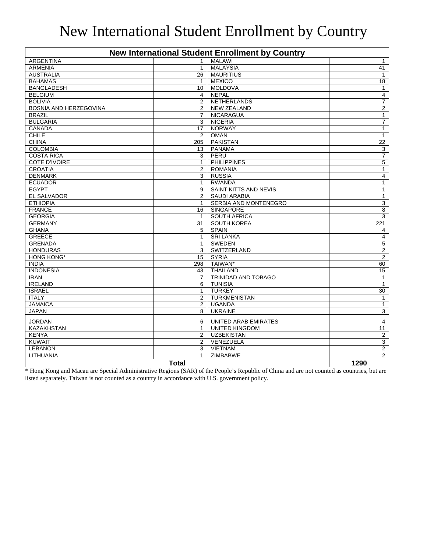#### New International Student Enrollment by Country

| <b>New International Student Enrollment by Country</b> |                 |                              |                |  |
|--------------------------------------------------------|-----------------|------------------------------|----------------|--|
| <b>ARGENTINA</b>                                       | $\mathbf{1}$    | <b>MALAWI</b>                | $\mathbf{1}$   |  |
| <b>ARMENIA</b>                                         | $\mathbf{1}$    | <b>MALAYSIA</b>              | 41             |  |
| <b>AUSTRALIA</b>                                       | 26              | <b>MAURITIUS</b>             | 1              |  |
| <b>BAHAMAS</b>                                         | $\mathbf{1}$    | <b>MEXICO</b>                | 18             |  |
| <b>BANGLADESH</b>                                      | 10 <sup>°</sup> | <b>MOLDOVA</b>               | $\mathbf{1}$   |  |
| <b>BELGIUM</b>                                         | 4               | <b>NEPAL</b>                 | 4              |  |
| <b>BOLIVIA</b>                                         | 2               | <b>NETHERLANDS</b>           | $\overline{7}$ |  |
| <b>BOSNIA AND HERZEGOVINA</b>                          | 2               | <b>NEW ZEALAND</b>           | $\overline{2}$ |  |
| <b>BRAZIL</b>                                          | $\overline{7}$  | <b>NICARAGUA</b>             | $\mathbf{1}$   |  |
| <b>BULGARIA</b>                                        | 3               | <b>NIGERIA</b>               | $\overline{7}$ |  |
| <b>CANADA</b>                                          | 17              | <b>NORWAY</b>                | $\mathbf{1}$   |  |
| <b>CHILE</b>                                           | $\overline{2}$  | <b>OMAN</b>                  | $\mathbf{1}$   |  |
| <b>CHINA</b>                                           | 205             | <b>PAKISTAN</b>              | 22             |  |
| <b>COLOMBIA</b>                                        | 13              | <b>PANAMA</b>                | 3              |  |
| <b>COSTA RICA</b>                                      | 3               | PERU                         | $\overline{7}$ |  |
| <b>COTE D'IVOIRE</b>                                   | $\mathbf{1}$    | <b>PHILIPPINES</b>           | $\overline{5}$ |  |
| <b>CROATIA</b>                                         | $\overline{2}$  | <b>ROMANIA</b>               | $\mathbf{1}$   |  |
| <b>DENMARK</b>                                         | 3               | <b>RUSSIA</b>                | 4              |  |
| <b>ECUADOR</b>                                         | $\mathbf{1}$    | <b>RWANDA</b>                | $\mathbf{1}$   |  |
| <b>EGYPT</b>                                           | 9               | <b>SAINT KITTS AND NEVIS</b> | $\mathbf{1}$   |  |
| <b>EL SALVADOR</b>                                     | 2               | <b>SAUDI ARABIA</b>          | $\mathbf{1}$   |  |
| <b>ETHIOPIA</b>                                        | $\mathbf{1}$    | SERBIA AND MONTENEGRO        | 3              |  |
| <b>FRANCE</b>                                          | 16              | <b>SINGAPORE</b>             | 8              |  |
| <b>GEORGIA</b>                                         | $\mathbf{1}$    | <b>SOUTH AFRICA</b>          | $\overline{3}$ |  |
| <b>GERMANY</b>                                         | 31              | <b>SOUTH KOREA</b>           | 221            |  |
| <b>GHANA</b>                                           | 5               | <b>SPAIN</b>                 | 4              |  |
| <b>GREECE</b>                                          | $\mathbf{1}$    | <b>SRI LANKA</b>             | $\overline{4}$ |  |
| <b>GRENADA</b>                                         | $\mathbf{1}$    | <b>SWEDEN</b>                | $\overline{5}$ |  |
| <b>HONDURAS</b>                                        | 3               | SWITZERLAND                  | $\overline{2}$ |  |
| <b>HONG KONG*</b>                                      | 15              | <b>SYRIA</b>                 | 2              |  |
| <b>INDIA</b>                                           | 298             | TAIWAN*                      | 60             |  |
| <b>INDONESIA</b>                                       | 43              | <b>THAILAND</b>              | 15             |  |
| <b>IRAN</b>                                            | $\overline{7}$  | <b>TRINIDAD AND TOBAGO</b>   | $\mathbf{1}$   |  |
| <b>IRELAND</b>                                         | 6               | <b>TUNISIA</b>               | $\mathbf{1}$   |  |
| <b>ISRAEL</b>                                          | $\mathbf{1}$    | <b>TURKEY</b>                | 30             |  |
| <b>ITALY</b>                                           | $\overline{2}$  | <b>TURKMENISTAN</b>          | $\mathbf{1}$   |  |
| <b>JAMAICA</b>                                         | $\overline{2}$  | <b>UGANDA</b>                | $\mathbf{1}$   |  |
| <b>JAPAN</b>                                           | 8               | <b>UKRAINE</b>               | 3              |  |
| <b>JORDAN</b>                                          | 6               | UNITED ARAB EMIRATES         | 4              |  |
| <b>KAZAKHSTAN</b>                                      | $\mathbf{1}$    | <b>UNITED KINGDOM</b>        | 11             |  |
| <b>KENYA</b>                                           | $\mathbf{2}$    | <b>UZBEKISTAN</b>            | $\overline{2}$ |  |
| <b>KUWAIT</b>                                          | 2               | VENEZUELA                    | 3              |  |
| <b>LEBANON</b>                                         | 3               | <b>VIETNAM</b>               | $\overline{2}$ |  |
| LITHUANIA                                              | $\mathbf{1}$    | <b>ZIMBABWE</b>              | $\overline{2}$ |  |
| <b>Total</b>                                           |                 |                              |                |  |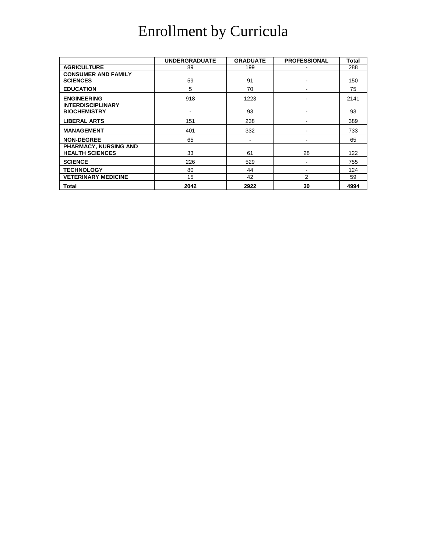## Enrollment by Curricula

|                              | <b>UNDERGRADUATE</b> | <b>GRADUATE</b> | <b>PROFESSIONAL</b> | Total |
|------------------------------|----------------------|-----------------|---------------------|-------|
| <b>AGRICULTURE</b>           | 89                   | 199             |                     | 288   |
| <b>CONSUMER AND FAMILY</b>   |                      |                 |                     |       |
| <b>SCIENCES</b>              | 59                   | 91              |                     | 150   |
| <b>EDUCATION</b>             | 5                    | 70              |                     | 75    |
| <b>ENGINEERING</b>           | 918                  | 1223            |                     | 2141  |
| <b>INTERDISCIPLINARY</b>     |                      |                 |                     |       |
| <b>BIOCHEMISTRY</b>          |                      | 93              |                     | 93    |
| <b>LIBERAL ARTS</b>          | 151                  | 238             |                     | 389   |
| <b>MANAGEMENT</b>            | 401                  | 332             |                     | 733   |
| <b>NON-DEGREE</b>            | 65                   | -               |                     | 65    |
| <b>PHARMACY, NURSING AND</b> |                      |                 |                     |       |
| <b>HEALTH SCIENCES</b>       | 33                   | 61              | 28                  | 122   |
| <b>SCIENCE</b>               | 226                  | 529             |                     | 755   |
| <b>TECHNOLOGY</b>            | 80                   | 44              |                     | 124   |
| <b>VETERINARY MEDICINE</b>   | 15                   | 42              | 2                   | 59    |
| Total                        | 2042                 | 2922            | 30                  | 4994  |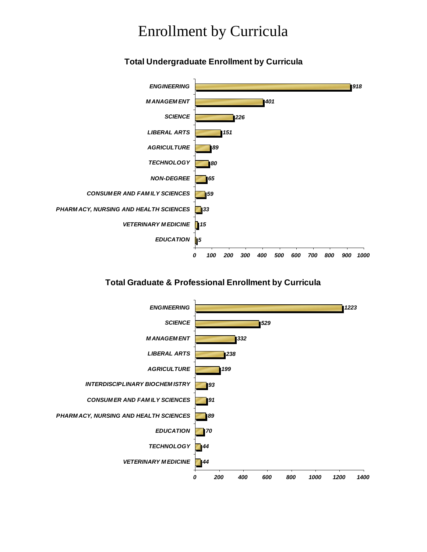#### Enrollment by Curricula

#### **Total Undergraduate Enrollment by Curricula**



#### **Total Graduate & Professional Enrollment by Curricula**

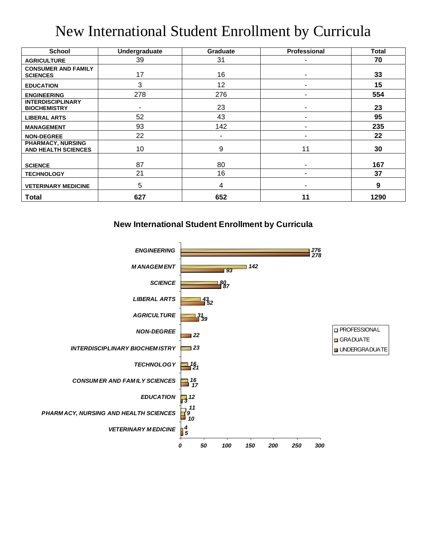## New International Student Enrollment by Curricula

| <b>School</b>                                          | Undergraduate | <b>Graduate</b> | Professional | Total |
|--------------------------------------------------------|---------------|-----------------|--------------|-------|
| <b>AGRICULTURE</b>                                     | 39            | 31              |              | 70    |
| <b>CONSUMER AND FAMILY</b><br><b>SCIENCES</b>          | 17            | 16              | ۰            | 33    |
| <b>EDUCATION</b>                                       | 3             | 12              |              | 15    |
| <b>ENGINEERING</b>                                     | 278           | 276             |              | 554   |
| <b>INTERDISCIPLINARY</b><br><b>BIOCHEMISTRY</b>        |               | 23              |              | 23    |
| <b>LIBERAL ARTS</b>                                    | 52            | 43              |              | 95    |
| <b>MANAGEMENT</b>                                      | 93            | 142             |              | 235   |
| <b>NON-DEGREE</b>                                      | 22            |                 |              | 22    |
| <b>PHARMACY, NURSING</b><br><b>AND HEALTH SCIENCES</b> | 10            | 9               | 11           | 30    |
| <b>SCIENCE</b>                                         | 87            | 80              |              | 167   |
| <b>TECHNOLOGY</b>                                      | 21            | 16              |              | 37    |
| <b>VETERINARY MEDICINE</b>                             | 5             | 4               |              | 9     |
| <b>Total</b>                                           | 627           | 652             | 11           | 1290  |

**New International Student Enrollment by Curricula**

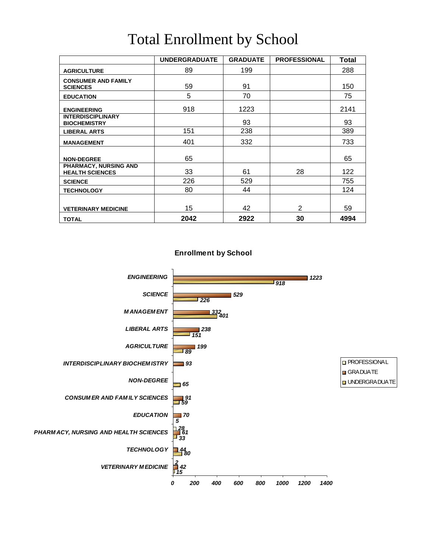|                                                 | <b>UNDERGRADUATE</b> | <b>GRADUATE</b> | <b>PROFESSIONAL</b> | Total |
|-------------------------------------------------|----------------------|-----------------|---------------------|-------|
| <b>AGRICULTURE</b>                              | 89                   | 199             |                     | 288   |
| <b>CONSUMER AND FAMILY</b><br><b>SCIENCES</b>   | 59                   | 91              |                     | 150   |
| <b>EDUCATION</b>                                | 5                    | 70              |                     | 75    |
| <b>ENGINEERING</b>                              | 918                  | 1223            |                     | 2141  |
| <b>INTERDISCIPLINARY</b><br><b>BIOCHEMISTRY</b> |                      | 93              |                     | 93    |
| <b>LIBERAL ARTS</b>                             | 151                  | 238             |                     | 389   |
| <b>MANAGEMENT</b>                               | 401                  | 332             |                     | 733   |
| <b>NON-DEGREE</b>                               | 65                   |                 |                     | 65    |
| PHARMACY, NURSING AND<br><b>HEALTH SCIENCES</b> | 33                   | 61              | 28                  | 122   |
| <b>SCIENCE</b>                                  | 226                  | 529             |                     | 755   |
| <b>TECHNOLOGY</b>                               | 80                   | 44              |                     | 124   |
|                                                 |                      |                 |                     |       |
| <b>VETERINARY MEDICINE</b>                      | 15                   | 42              | $\overline{2}$      | 59    |
| <b>TOTAL</b>                                    | 2042                 | 2922            | 30                  | 4994  |

#### Total Enrollment by School

**Enrollment by School**

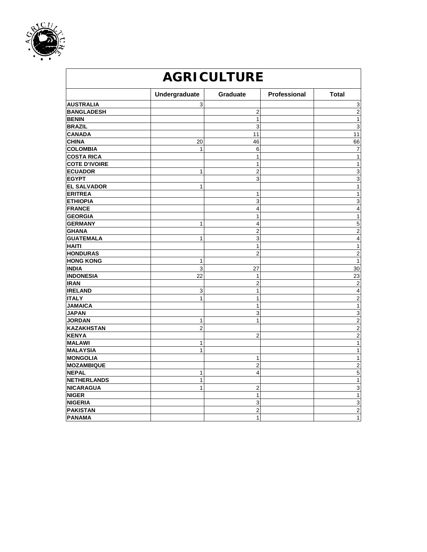

| <b>AGRICULTURE</b>   |                |                 |              |                         |  |
|----------------------|----------------|-----------------|--------------|-------------------------|--|
|                      | Undergraduate  | <b>Graduate</b> | Professional | <b>Total</b>            |  |
| <b>AUSTRALIA</b>     | 3              |                 |              | 3                       |  |
| <b>BANGLADESH</b>    |                | $\overline{c}$  |              | $\overline{2}$          |  |
| <b>BENIN</b>         |                | $\mathbf{1}$    |              | $\mathbf{1}$            |  |
| <b>BRAZIL</b>        |                | 3               |              | 3                       |  |
| <b>CANADA</b>        |                | 11              |              | $\overline{11}$         |  |
| <b>CHINA</b>         | 20             | 46              |              | 66                      |  |
| <b>COLOMBIA</b>      | $\mathbf{1}$   | 6               |              | 7                       |  |
| <b>COSTA RICA</b>    |                | $\mathbf{1}$    |              | $\mathbf{1}$            |  |
| <b>COTE D'IVOIRE</b> |                | $\mathbf{1}$    |              | $\mathbf{1}$            |  |
| <b>ECUADOR</b>       | $\mathbf{1}$   | $\overline{2}$  |              | 3                       |  |
| <b>EGYPT</b>         |                | 3               |              | 3                       |  |
| <b>EL SALVADOR</b>   | $\mathbf{1}$   |                 |              | $\mathbf{1}$            |  |
| <b>ERITREA</b>       |                | $\mathbf{1}$    |              | $\mathbf{1}$            |  |
| <b>ETHIOPIA</b>      |                | 3               |              | 3                       |  |
| <b>FRANCE</b>        |                | 4               |              | 4                       |  |
| <b>GEORGIA</b>       |                | $\mathbf{1}$    |              | $\mathbf{1}$            |  |
| <b>GERMANY</b>       | $\mathbf{1}$   | 4               |              | 5                       |  |
| <b>GHANA</b>         |                | $\overline{2}$  |              | $\overline{c}$          |  |
| <b>GUATEMALA</b>     | $\mathbf{1}$   | 3               |              | $\overline{4}$          |  |
| <b>HAITI</b>         |                | $\mathbf{1}$    |              | $\mathbf{1}$            |  |
| <b>HONDURAS</b>      |                | $\overline{2}$  |              | $\overline{c}$          |  |
| <b>HONG KONG</b>     | $\mathbf{1}$   |                 |              | $\mathbf{1}$            |  |
| <b>INDIA</b>         | 3              | 27              |              | 30                      |  |
| <b>INDONESIA</b>     | 22             | 1               |              | 23                      |  |
| <b>IRAN</b>          |                | $\overline{2}$  |              | $\overline{2}$          |  |
| <b>IRELAND</b>       | 3              | $\mathbf{1}$    |              | $\overline{4}$          |  |
| <b>ITALY</b>         | $\mathbf{1}$   | $\mathbf{1}$    |              | $\overline{\mathbf{c}}$ |  |
| <b>JAMAICA</b>       |                | $\mathbf{1}$    |              | $\mathbf{1}$            |  |
| <b>JAPAN</b>         |                | 3               |              | $\overline{3}$          |  |
| <b>JORDAN</b>        | $\mathbf{1}$   | $\mathbf{1}$    |              | $\overline{c}$          |  |
| <b>KAZAKHSTAN</b>    | $\overline{2}$ |                 |              | $\overline{2}$          |  |
| <b>KENYA</b>         |                | $\overline{2}$  |              | $\overline{2}$          |  |
| <b>MALAWI</b>        | $\mathbf{1}$   |                 |              | $\mathbf{1}$            |  |
| <b>MALAYSIA</b>      | $\mathbf{1}$   |                 |              | $\mathbf{1}$            |  |
| <b>MONGOLIA</b>      |                | $\mathbf{1}$    |              | $\mathbf{1}$            |  |
| <b>MOZAMBIQUE</b>    |                | $\overline{c}$  |              | $\overline{2}$          |  |
| <b>NEPAL</b>         | $\mathbf{1}$   | 4               |              | 5                       |  |
| <b>NETHERLANDS</b>   | $\mathbf{1}$   |                 |              | $\overline{1}$          |  |
| <b>NICARAGUA</b>     | $\mathbf{1}$   | $\overline{2}$  |              | 3                       |  |
| <b>NIGER</b>         |                | 1               |              | $\mathbf{1}$            |  |
| <b>NIGERIA</b>       |                | 3               |              | $\overline{3}$          |  |
| <b>PAKISTAN</b>      |                | $\overline{2}$  |              | $\overline{\mathbf{c}}$ |  |
| PANAMA               |                | 1               |              | 1                       |  |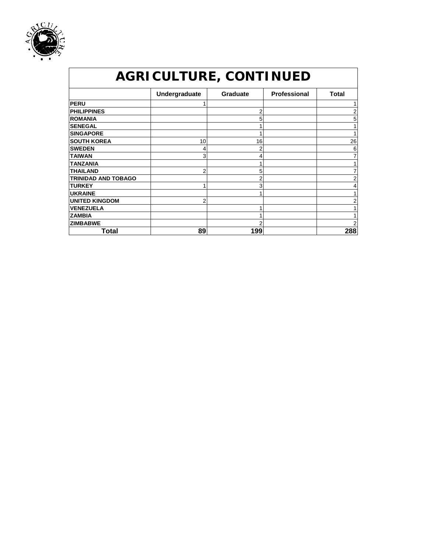

| <b>AGRICULTURE, CONTINUED</b> |               |                 |                     |              |  |
|-------------------------------|---------------|-----------------|---------------------|--------------|--|
|                               | Undergraduate | <b>Graduate</b> | <b>Professional</b> | <b>Total</b> |  |
| <b>PERU</b>                   |               |                 |                     |              |  |
| <b>PHILIPPINES</b>            |               | 2               |                     | 2            |  |
| <b>ROMANIA</b>                |               | 5               |                     | 5            |  |
| <b>SENEGAL</b>                |               |                 |                     |              |  |
| <b>SINGAPORE</b>              |               |                 |                     |              |  |
| <b>SOUTH KOREA</b>            | 10            | 16              |                     | 26           |  |
| <b>SWEDEN</b>                 |               | 2               |                     | 6            |  |
| <b>TAIWAN</b>                 | 3             |                 |                     |              |  |
| <b>TANZANIA</b>               |               |                 |                     |              |  |
| <b>THAILAND</b>               | 2             | 5               |                     |              |  |
| <b>TRINIDAD AND TOBAGO</b>    |               | 2               |                     | 2            |  |
| <b>TURKEY</b>                 |               | 3               |                     |              |  |
| <b>UKRAINE</b>                |               |                 |                     |              |  |
| <b>UNITED KINGDOM</b>         | 2             |                 |                     |              |  |
| <b>VENEZUELA</b>              |               |                 |                     |              |  |
| <b>ZAMBIA</b>                 |               |                 |                     |              |  |
| <b>ZIMBABWE</b>               |               |                 |                     |              |  |
| Total                         | 89            | 199             |                     | 288          |  |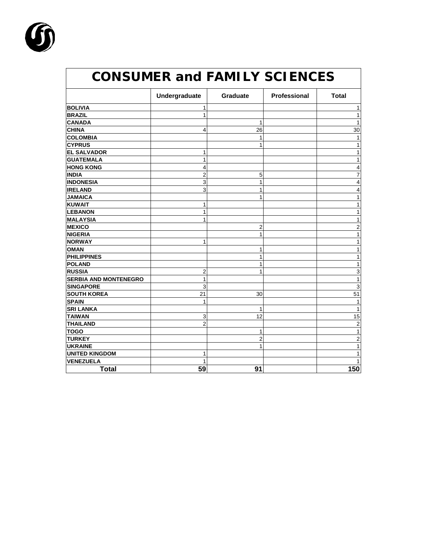

|                              | Undergraduate  | Graduate     | Professional | <b>Total</b>   |
|------------------------------|----------------|--------------|--------------|----------------|
| <b>BOLIVIA</b>               | 1              |              |              | 1              |
| <b>BRAZIL</b>                | $\mathbf{1}$   |              |              | 1              |
| <b>CANADA</b>                |                | 1            |              | 1              |
| <b>CHINA</b>                 | 4              | 26           |              | 30             |
| <b>COLOMBIA</b>              |                | $\mathbf{1}$ |              | 1              |
| <b>CYPRUS</b>                |                | 1            |              | 1              |
| <b>EL SALVADOR</b>           | 1              |              |              | 1              |
| <b>GUATEMALA</b>             | $\mathbf{1}$   |              |              | 1              |
| <b>HONG KONG</b>             | 4              |              |              | 4              |
| <b>INDIA</b>                 | $\overline{c}$ | 5            |              | $\overline{7}$ |
| <b>INDONESIA</b>             | 3              | $\mathbf{1}$ |              | 4              |
| <b>IRELAND</b>               | 3              | $\mathbf{1}$ |              | 4              |
| <b>JAMAICA</b>               |                | 1            |              | 1              |
| <b>KUWAIT</b>                | 1              |              |              | 1              |
| <b>LEBANON</b>               | 1              |              |              | 1              |
| <b>MALAYSIA</b>              | $\mathbf{1}$   |              |              | 1              |
| <b>MEXICO</b>                |                | 2            |              | $\overline{c}$ |
| <b>NIGERIA</b>               |                | 1            |              | 1              |
| <b>NORWAY</b>                | 1              |              |              | 1              |
| <b>OMAN</b>                  |                | 1            |              | 1              |
| <b>PHILIPPINES</b>           |                | 1            |              | 1              |
| <b>POLAND</b>                |                | 1            |              | 1              |
| <b>RUSSIA</b>                | 2              | 1            |              | 3              |
| <b>SERBIA AND MONTENEGRO</b> | $\mathbf{1}$   |              |              | 1              |
| <b>SINGAPORE</b>             | 3              |              |              | 3              |
| <b>SOUTH KOREA</b>           | 21             | 30           |              | 51             |
| <b>SPAIN</b>                 | 1              |              |              | 1              |
| <b>SRI LANKA</b>             |                | 1            |              | 1              |
| <b>TAIWAN</b>                | 3              | 12           |              | 15             |
| <b>THAILAND</b>              | $\overline{2}$ |              |              | 2              |
| <b>TOGO</b>                  |                | 1            |              | 1              |
| <b>TURKEY</b>                |                | 2            |              | $\overline{2}$ |
| <b>UKRAINE</b>               |                | 1            |              | 1              |
| <b>UNITED KINGDOM</b>        | 1              |              |              | 1              |
| <b>VENEZUELA</b>             | 1              |              |              |                |
| <b>Total</b>                 | 59             | 91           |              | 150            |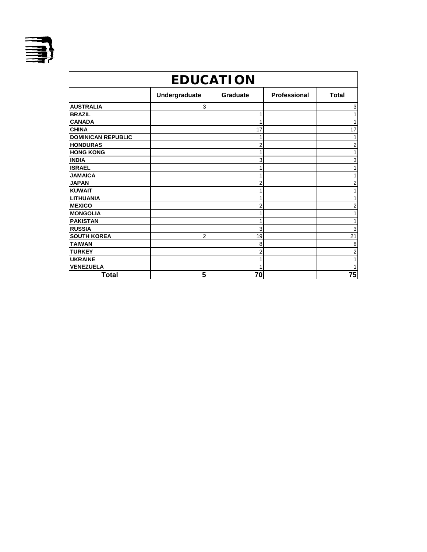

| <b>EDUCATION</b>          |                 |                |                     |                         |  |
|---------------------------|-----------------|----------------|---------------------|-------------------------|--|
|                           | Undergraduate   | Graduate       | <b>Professional</b> | <b>Total</b>            |  |
| <b>AUSTRALIA</b>          | 3               |                |                     | 3                       |  |
| <b>BRAZIL</b>             |                 |                |                     | 1                       |  |
| <b>CANADA</b>             |                 |                |                     | 1                       |  |
| <b>CHINA</b>              |                 | 17             |                     | 17                      |  |
| <b>DOMINICAN REPUBLIC</b> |                 |                |                     | 1                       |  |
| <b>HONDURAS</b>           |                 | $\overline{2}$ |                     | 2                       |  |
| <b>HONG KONG</b>          |                 |                |                     | 1                       |  |
| <b>INDIA</b>              |                 | 3              |                     | 3                       |  |
| <b>ISRAEL</b>             |                 |                |                     | 1                       |  |
| <b>JAMAICA</b>            |                 |                |                     | 1                       |  |
| <b>JAPAN</b>              |                 | 2              |                     | 2                       |  |
| <b>KUWAIT</b>             |                 |                |                     | 1                       |  |
| <b>LITHUANIA</b>          |                 |                |                     | 1                       |  |
| <b>MEXICO</b>             |                 | 2              |                     | $\overline{\mathbf{c}}$ |  |
| <b>MONGOLIA</b>           |                 |                |                     | 1                       |  |
| <b>PAKISTAN</b>           |                 |                |                     | 1                       |  |
| <b>RUSSIA</b>             |                 | 3              |                     | 3                       |  |
| <b>SOUTH KOREA</b>        | 2               | 19             |                     | 21                      |  |
| <b>TAIWAN</b>             |                 | 8              |                     | 8                       |  |
| <b>TURKEY</b>             |                 | 2              |                     | 2                       |  |
| <b>UKRAINE</b>            |                 |                |                     | 1                       |  |
| <b>VENEZUELA</b>          |                 |                |                     | 1                       |  |
| <b>Total</b>              | $5\phantom{.0}$ | 70             |                     | 75                      |  |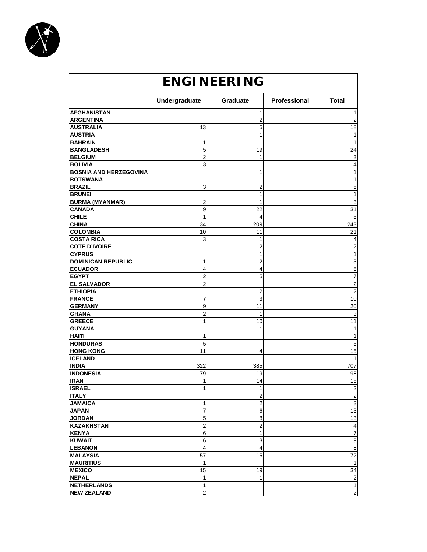

| <b>ENGINEERING</b>            |                         |                  |              |                  |  |
|-------------------------------|-------------------------|------------------|--------------|------------------|--|
|                               | Undergraduate           | Graduate         | Professional | <b>Total</b>     |  |
| <b>AFGHANISTAN</b>            |                         | 1                |              | 1                |  |
| <b>ARGENTINA</b>              |                         | $\overline{2}$   |              | $\overline{2}$   |  |
| <b>AUSTRALIA</b>              | 13                      | 5                |              | 18               |  |
| <b>AUSTRIA</b>                |                         | 1                |              | 1                |  |
| <b>BAHRAIN</b>                | 1                       |                  |              | $\mathbf{1}$     |  |
| <b>BANGLADESH</b>             | 5                       | 19               |              | 24               |  |
| <b>BELGIUM</b>                | $\overline{2}$          | 1                |              | 3                |  |
| <b>BOLIVIA</b>                | 3                       | 1                |              | 4                |  |
| <b>BOSNIA AND HERZEGOVINA</b> |                         | 1                |              | 1                |  |
| <b>BOTSWANA</b>               |                         | 1                |              | 1                |  |
| <b>BRAZIL</b>                 | 3                       | $\overline{2}$   |              | 5                |  |
| <b>BRUNEI</b>                 |                         | 1                |              | $\mathbf{1}$     |  |
| <b>BURMA (MYANMAR)</b>        | 2                       | $\mathbf{1}$     |              | 3                |  |
| <b>CANADA</b>                 | 9                       | 22               |              | 31               |  |
| <b>CHILE</b>                  | 1                       | $\overline{4}$   |              | 5                |  |
| <b>CHINA</b>                  | 34                      | 209              |              | 243              |  |
| <b>COLOMBIA</b>               | 10                      | 11               |              | 21               |  |
| <b>COSTA RICA</b>             | 3                       | 1                |              | 4                |  |
| <b>COTE D'IVOIRE</b>          |                         | 2                |              | 2                |  |
| <b>CYPRUS</b>                 |                         | 1                |              | $\mathbf{1}$     |  |
| <b>DOMINICAN REPUBLIC</b>     | 1                       | $\overline{2}$   |              | 3                |  |
| <b>ECUADOR</b>                | 4                       | 4                |              | 8                |  |
| <b>EGYPT</b>                  | 2                       | 5                |              | 7                |  |
| <b>EL SALVADOR</b>            | $\overline{2}$          |                  |              | $\overline{2}$   |  |
| <b>ETHIOPIA</b>               |                         | $\overline{2}$   |              | $\overline{c}$   |  |
| <b>FRANCE</b>                 | 7                       | 3                |              | 10               |  |
| <b>GERMANY</b>                | 9                       | 11               |              | 20               |  |
| <b>GHANA</b>                  | $\overline{\mathbf{c}}$ | 1                |              | 3                |  |
| <b>GREECE</b>                 | 1                       | 10               |              | 11               |  |
| <b>GUYANA</b>                 |                         | 1                |              | 1                |  |
| <b>HAITI</b>                  | 1                       |                  |              | 1                |  |
| <b>HONDURAS</b>               | 5                       |                  |              | 5                |  |
| <b>HONG KONG</b>              | 11                      | 4                |              | 15               |  |
| <b>ICELAND</b>                |                         | 1                |              | 1                |  |
| <b>INDIA</b>                  | 322                     | 385              |              | 707              |  |
| <b>INDONESIA</b>              | 79                      | 19               |              | 98               |  |
| <b>IRAN</b>                   | 1                       | 14               |              | 15               |  |
| <b>ISRAEL</b>                 | 1                       | 1                |              | $\overline{2}$   |  |
| <b>ITALY</b>                  |                         | $\overline{2}$   |              | $\mathbf 2$      |  |
| <b>JAMAICA</b>                | 1                       | $\boldsymbol{2}$ |              | $\mathsf 3$      |  |
| <b>JAPAN</b>                  | 7                       | 6                |              | 13               |  |
| <b>JORDAN</b>                 | 5                       | 8                |              | 13               |  |
| <b>KAZAKHSTAN</b>             | 2                       | $\overline{c}$   |              | 4                |  |
| <b>KENYA</b>                  | 6                       | 1                |              | $\boldsymbol{7}$ |  |
| <b>KUWAIT</b>                 | 6                       | 3                |              | $\boldsymbol{9}$ |  |
| <b>LEBANON</b>                | 4                       | 4                |              | 8                |  |
| <b>MALAYSIA</b>               | 57                      | 15               |              | 72               |  |
| <b>MAURITIUS</b>              | 1                       |                  |              | $\mathbf{1}$     |  |
| <b>MEXICO</b>                 | 15                      | 19               |              | 34               |  |
| <b>NEPAL</b>                  | 1                       | $\mathbf{1}$     |              | $\sqrt{2}$       |  |
| <b>NETHERLANDS</b>            | 1                       |                  |              | $\mathbf{1}$     |  |
| <b>NEW ZEALAND</b>            | $\overline{2}$          |                  |              | $\overline{2}$   |  |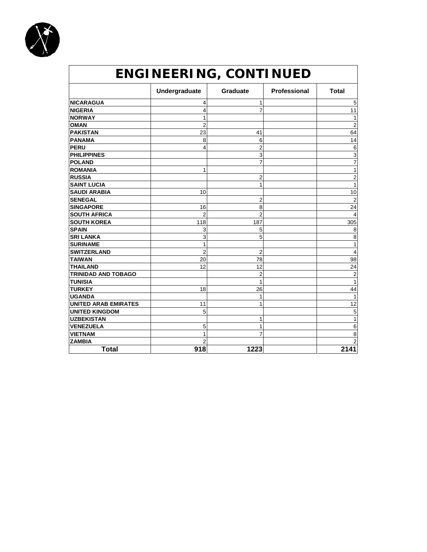

| ENGINEERING, CONTINUED      |                |                 |              |                |
|-----------------------------|----------------|-----------------|--------------|----------------|
|                             | Undergraduate  | <b>Graduate</b> | Professional | <b>Total</b>   |
| <b>NICARAGUA</b>            | 4              | 1               |              | 5              |
| <b>NIGERIA</b>              | 4              | 7               |              | 11             |
| <b>NORWAY</b>               | 1              |                 |              | 1              |
| <b>OMAN</b>                 | $\overline{2}$ |                 |              | $\overline{2}$ |
| <b>PAKISTAN</b>             | 23             | 41              |              | 64             |
| <b>PANAMA</b>               | 8              | 6               |              | 14             |
| <b>PERU</b>                 | 4              | $\overline{2}$  |              | 6              |
| <b>PHILIPPINES</b>          |                | 3               |              | 3              |
| <b>POLAND</b>               |                | $\overline{7}$  |              | $\overline{7}$ |
| <b>ROMANIA</b>              | 1              |                 |              | 1              |
| <b>RUSSIA</b>               |                | $\overline{2}$  |              | $\overline{c}$ |
| <b>SAINT LUCIA</b>          |                | 1               |              | 1              |
| <b>SAUDI ARABIA</b>         | 10             |                 |              | 10             |
| <b>SENEGAL</b>              |                | 2               |              | $\overline{2}$ |
| <b>SINGAPORE</b>            | 16             | 8               |              | 24             |
| <b>SOUTH AFRICA</b>         | $\overline{2}$ | $\overline{2}$  |              | $\overline{4}$ |
| <b>SOUTH KOREA</b>          | 118            | 187             |              | 305            |
| <b>SPAIN</b>                | 3              | 5               |              | 8              |
| <b>SRI LANKA</b>            | 3              | 5               |              | 8              |
| <b>SURINAME</b>             | 1              |                 |              | 1              |
| <b>SWITZERLAND</b>          | $\overline{2}$ | 2               |              | 4              |
| <b>TAIWAN</b>               | 20             | 78              |              | 98             |
| <b>THAILAND</b>             | 12             | 12              |              | 24             |
| <b>TRINIDAD AND TOBAGO</b>  |                | $\overline{2}$  |              | $\overline{c}$ |
| <b>TUNISIA</b>              |                | 1               |              | $\mathbf{1}$   |
| <b>TURKEY</b>               | 18             | 26              |              | 44             |
| <b>UGANDA</b>               |                | 1               |              | 1              |
| <b>UNITED ARAB EMIRATES</b> | 11             | 1               |              | 12             |
| <b>UNITED KINGDOM</b>       | 5              |                 |              | 5              |
| <b>UZBEKISTAN</b>           |                | 1               |              | 1              |
| <b>VENEZUELA</b>            | 5              | 1               |              | 6              |
| <b>VIETNAM</b>              | 1              | 7               |              | 8              |
| <b>ZAMBIA</b>               | $\overline{2}$ |                 |              | $\overline{c}$ |
| <b>Total</b>                | 918            | 1223            |              | 2141           |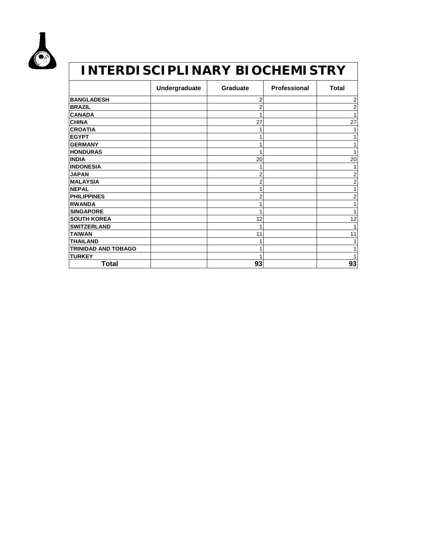

#### *INTERDISCIPLINARY BIOCHEMISTRY* Undergraduate | Graduate | Professional | Total **BANGLADESH** 2 2 **BRAZIL** 2 2 **CANADA** 1 1 **CHINA** 27 27 **CROATIA** 1 1 **EGYPT** 1 1 **GERMANY** 1<br> **1** 1<br> **1** 1 **INDIA** 20 20 **INDONESIA** 1 1 **JAPAN** 2 2 **MALAYSIA** 2 2 **NEPAL** 1 1

| <b>HONDURAS</b>            |    |    |
|----------------------------|----|----|
| <b>INDIA</b>               | 20 | 20 |
| <b>INDONESIA</b>           |    |    |
| <b>JAPAN</b>               | ◠  |    |
| <b>MALAYSIA</b>            |    |    |
| <b>NEPAL</b>               |    |    |
| <b>PHILIPPINES</b>         |    |    |
| <b>RWANDA</b>              |    |    |
| <b>SINGAPORE</b>           |    |    |
| <b>SOUTH KOREA</b>         | 12 | 12 |
| <b>SWITZERLAND</b>         |    |    |
| <b>TAIWAN</b>              |    | 11 |
| <b>THAILAND</b>            |    |    |
| <b>TRINIDAD AND TOBAGO</b> |    |    |
| <b>TURKEY</b>              |    |    |

**Total 93 93**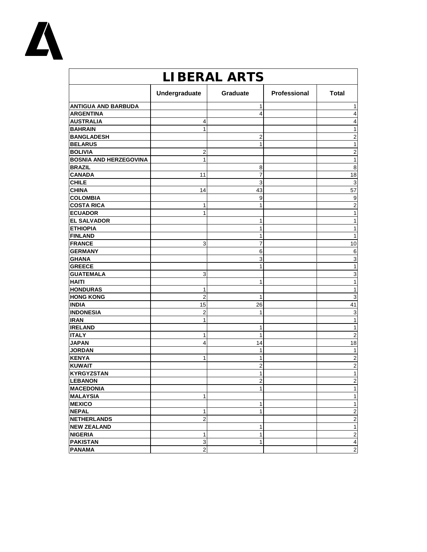

| <b>LIBERAL ARTS</b>           |                |                |              |                         |
|-------------------------------|----------------|----------------|--------------|-------------------------|
|                               | Undergraduate  | Graduate       | Professional | <b>Total</b>            |
| <b>ANTIGUA AND BARBUDA</b>    |                | 1              |              | 1                       |
| <b>ARGENTINA</b>              |                | 4              |              | 4                       |
| <b>AUSTRALIA</b>              | 4              |                |              | 4                       |
| <b>BAHRAIN</b>                | 1              |                |              | 1                       |
| <b>BANGLADESH</b>             |                | 2              |              | $\overline{2}$          |
| <b>BELARUS</b>                |                | 1              |              | 1                       |
| <b>BOLIVIA</b>                | 2              |                |              | 2                       |
| <b>BOSNIA AND HERZEGOVINA</b> | 1              |                |              | 1                       |
| <b>BRAZIL</b>                 |                | 8              |              | 8                       |
| <b>CANADA</b>                 | 11             | 7              |              | 18                      |
| <b>CHILE</b>                  |                | 3              |              | 3                       |
| <b>CHINA</b>                  | 14             | 43             |              | 57                      |
| <b>COLOMBIA</b>               |                | 9              |              | 9                       |
| <b>COSTA RICA</b>             | 1              | 1              |              | $\overline{c}$          |
| <b>ECUADOR</b>                | 1              |                |              | 1                       |
| <b>EL SALVADOR</b>            |                | 1              |              | 1                       |
| <b>ETHIOPIA</b>               |                | 1              |              | 1                       |
| <b>FINLAND</b>                |                | 1              |              | 1                       |
| <b>FRANCE</b>                 | 3              | 7              |              | 10                      |
| <b>GERMANY</b>                |                | 6              |              | 6                       |
| <b>GHANA</b>                  |                | 3              |              | 3                       |
| <b>GREECE</b>                 |                | 1              |              | 1                       |
| <b>GUATEMALA</b>              | 3              |                |              | $\mathsf 3$             |
| <b>HAITI</b>                  |                | 1              |              | 1                       |
| <b>HONDURAS</b>               | 1              |                |              | 1                       |
| <b>HONG KONG</b>              | $\overline{c}$ | 1              |              | 3                       |
| <b>INDIA</b>                  | 15             | 26             |              | 41                      |
| <b>INDONESIA</b>              | $\overline{2}$ | 1              |              | 3                       |
| <b>IRAN</b>                   | 1              |                |              | 1                       |
| <b>IRELAND</b>                |                | 1              |              | 1                       |
| <b>ITALY</b>                  | 1              | 1              |              | $\overline{2}$          |
| <b>JAPAN</b>                  | 4              | 14             |              | 18                      |
| <b>JORDAN</b>                 |                | 1              |              | $\mathbf{1}$            |
| <b>KENYA</b>                  | 1              | 1              |              | $\overline{c}$          |
| <b>KUWAIT</b>                 |                | 2              |              | $\boldsymbol{2}$        |
| <b>KYRGYZSTAN</b>             |                | 1              |              | 1                       |
| <b>LEBANON</b>                |                | $\overline{a}$ |              | $\overline{2}$          |
| <b>MACEDONIA</b>              |                | 1              |              | $\mathbf{1}$            |
| <b>MALAYSIA</b>               | 1              |                |              | 1                       |
| <b>MEXICO</b>                 |                | 1              |              | $\mathbf{1}$            |
| <b>NEPAL</b>                  | 1              | 1              |              | $\boldsymbol{2}$        |
| <b>NETHERLANDS</b>            | $\overline{2}$ |                |              | $\overline{c}$          |
| <b>NEW ZEALAND</b>            |                | 1              |              | $\mathbf{1}$            |
| <b>NIGERIA</b>                | 1              | 1              |              | $\mathbf 2$             |
| <b>PAKISTAN</b>               | $\mathbf{3}$   | 1              |              | $\overline{\mathbf{4}}$ |
| <b>PANAMA</b>                 | $\overline{a}$ |                |              | $\mathbf{2}$            |
|                               |                |                |              |                         |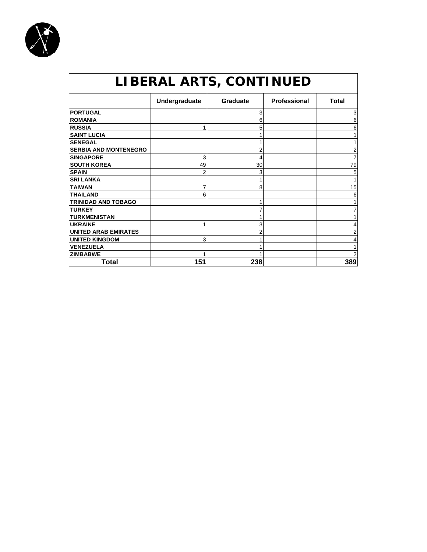

| LIBERAL ARTS, CONTINUED      |               |                 |                     |              |
|------------------------------|---------------|-----------------|---------------------|--------------|
|                              | Undergraduate | <b>Graduate</b> | <b>Professional</b> | <b>Total</b> |
| <b>PORTUGAL</b>              |               | 3               |                     | 3            |
| <b>ROMANIA</b>               |               | 6               |                     | 6            |
| <b>RUSSIA</b>                |               | 5               |                     | 6            |
| <b>SAINT LUCIA</b>           |               |                 |                     |              |
| <b>SENEGAL</b>               |               |                 |                     |              |
| <b>SERBIA AND MONTENEGRO</b> |               | 2               |                     | 2            |
| <b>SINGAPORE</b>             | 3             | 4               |                     |              |
| <b>SOUTH KOREA</b>           | 49            | 30              |                     | 79           |
| <b>SPAIN</b>                 | 2             | 3               |                     | 5            |
| <b>SRI LANKA</b>             |               |                 |                     |              |
| <b>TAIWAN</b>                |               | 8               |                     | 15           |
| <b>THAILAND</b>              | 6             |                 |                     | 6            |
| <b>TRINIDAD AND TOBAGO</b>   |               |                 |                     |              |
| <b>TURKEY</b>                |               |                 |                     |              |
| <b>TURKMENISTAN</b>          |               |                 |                     |              |
| <b>UKRAINE</b>               |               | 3               |                     |              |
| <b>UNITED ARAB EMIRATES</b>  |               | 2               |                     | 2            |
| <b>UNITED KINGDOM</b>        | 3             |                 |                     |              |
| <b>VENEZUELA</b>             |               |                 |                     |              |
| <b>ZIMBABWE</b>              |               |                 |                     |              |
| Total                        | 151           | 238             |                     | 389          |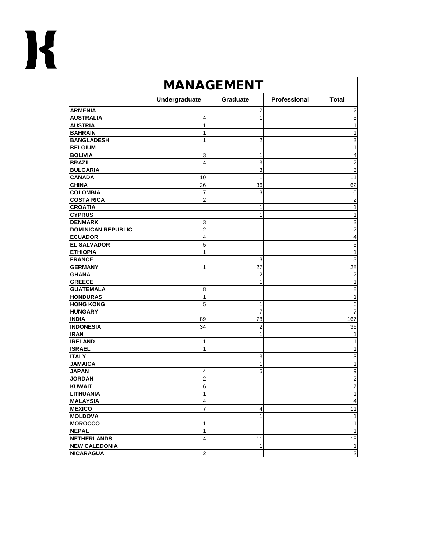| <b>MANAGEMENT</b>         |                         |                |              |                  |
|---------------------------|-------------------------|----------------|--------------|------------------|
|                           | Undergraduate           | Graduate       | Professional | <b>Total</b>     |
| <b>ARMENIA</b>            |                         | 2              |              | $\overline{2}$   |
| <b>AUSTRALIA</b>          | 4                       | 1              |              | 5                |
| <b>AUSTRIA</b>            | 1                       |                |              | 1                |
| <b>BAHRAIN</b>            | 1                       |                |              | 1                |
| <b>BANGLADESH</b>         | 1                       | 2              |              | 3                |
| <b>BELGIUM</b>            |                         | 1              |              | $\mathbf{1}$     |
| <b>BOLIVIA</b>            | 3                       | 1              |              | 4                |
| <b>BRAZIL</b>             | $\overline{4}$          | 3              |              | 7                |
| <b>BULGARIA</b>           |                         | 3              |              | 3                |
| <b>CANADA</b>             | 10                      | 1              |              | 11               |
| <b>CHINA</b>              | 26                      | 36             |              | 62               |
| <b>COLOMBIA</b>           | 7                       | 3              |              | 10               |
| <b>COSTA RICA</b>         | $\overline{2}$          |                |              | $\overline{2}$   |
| <b>CROATIA</b>            |                         | 1              |              | 1                |
| <b>CYPRUS</b>             |                         | 1              |              | $\mathbf{1}$     |
| <b>DENMARK</b>            | 3                       |                |              | 3                |
| <b>DOMINICAN REPUBLIC</b> | $\overline{c}$          |                |              | $\overline{2}$   |
| <b>ECUADOR</b>            | 4                       |                |              | 4                |
| <b>EL SALVADOR</b>        | 5                       |                |              | 5                |
| <b>ETHIOPIA</b>           | 1                       |                |              | $\mathbf{1}$     |
| <b>FRANCE</b>             |                         | 3              |              | 3                |
| <b>GERMANY</b>            | 1                       | 27             |              | 28               |
| <b>GHANA</b>              |                         | 2              |              | $\sqrt{2}$       |
| <b>GREECE</b>             |                         | 1              |              | $\mathbf{1}$     |
| <b>GUATEMALA</b>          | 8                       |                |              | 8                |
| <b>HONDURAS</b>           | $\mathbf{1}$            |                |              | $\mathbf{1}$     |
| <b>HONG KONG</b>          | 5                       | 1              |              | 6                |
| <b>HUNGARY</b>            |                         | 7              |              | $\overline{7}$   |
| <b>INDIA</b>              | 89                      | 78             |              | 167              |
| <b>INDONESIA</b>          | 34                      | $\overline{2}$ |              | 36               |
| <b>IRAN</b>               |                         | 1              |              | 1                |
| <b>IRELAND</b>            | 1                       |                |              | $\mathbf{1}$     |
| <b>ISRAEL</b>             | 1                       |                |              | 1                |
| <b>ITALY</b>              |                         | 3              |              | 3                |
| <b>JAMAICA</b>            |                         | 1              |              | $\mathbf{1}$     |
| <b>JAPAN</b>              | 4                       | 5              |              | $\boldsymbol{9}$ |
| <b>JORDAN</b>             | $\overline{\mathbf{c}}$ |                |              | $\boldsymbol{2}$ |
| <b>KUWAIT</b>             | 6                       | 1              |              | 7                |
| <b>LITHUANIA</b>          | 1                       |                |              | 1                |
| <b>MALAYSIA</b>           | 4                       |                |              | 4                |
| <b>MEXICO</b>             | $\overline{7}$          | 4              |              | 11               |
| <b>MOLDOVA</b>            |                         | 1              |              | $\mathbf{1}$     |
| <b>MOROCCO</b>            | 1                       |                |              | $\mathbf{1}$     |
| <b>NEPAL</b>              | 1                       |                |              | $\mathbf{1}$     |
| <b>NETHERLANDS</b>        | $\overline{\mathbf{4}}$ | 11             |              | 15               |
| <b>NEW CALEDONIA</b>      |                         | $\mathbf{1}$   |              | $\mathbf{1}$     |
| <b>NICARAGUA</b>          | $\overline{\mathbf{c}}$ |                |              | $2\vert$         |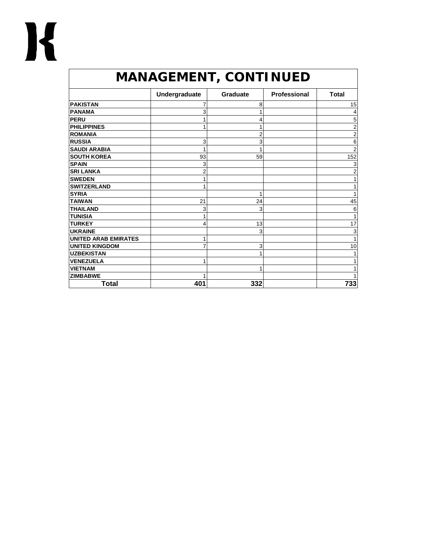| <b>MANAGEMENT, CONTINUED</b> |                |                 |              |                |
|------------------------------|----------------|-----------------|--------------|----------------|
|                              | Undergraduate  | <b>Graduate</b> | Professional | <b>Total</b>   |
| <b>PAKISTAN</b>              | 7              | 8               |              | 15             |
| <b>PANAMA</b>                | 3              | 1               |              | 4              |
| <b>PERU</b>                  |                | 4               |              | 5              |
| <b>PHILIPPINES</b>           |                | 1               |              | $\overline{c}$ |
| <b>ROMANIA</b>               |                | 2               |              | $\overline{2}$ |
| <b>RUSSIA</b>                | 3              | 3               |              | 6              |
| <b>SAUDI ARABIA</b>          | 1              | 1               |              | $\overline{2}$ |
| <b>SOUTH KOREA</b>           | 93             | 59              |              | 152            |
| <b>SPAIN</b>                 | 3              |                 |              | 3              |
| <b>SRI LANKA</b>             | $\overline{2}$ |                 |              | $\overline{2}$ |
| <b>SWEDEN</b>                | 1              |                 |              | 1              |
| <b>SWITZERLAND</b>           | 1              |                 |              |                |
| <b>SYRIA</b>                 |                | 1               |              | 1              |
| <b>TAIWAN</b>                | 21             | 24              |              | 45             |
| <b>THAILAND</b>              | 3              | 3               |              | 6              |
| <b>TUNISIA</b>               | 1              |                 |              | 1              |
| <b>TURKEY</b>                | 4              | 13              |              | 17             |
| <b>UKRAINE</b>               |                | 3               |              | 3              |
| <b>UNITED ARAB EMIRATES</b>  | 1              |                 |              | 1              |
| <b>UNITED KINGDOM</b>        | 7              | 3               |              | 10             |
| <b>UZBEKISTAN</b>            |                | 1               |              |                |
| <b>VENEZUELA</b>             |                |                 |              |                |
| <b>VIETNAM</b>               |                | 1               |              |                |
| <b>ZIMBABWE</b>              |                |                 |              |                |
| <b>Total</b>                 | 401            | 332             |              | 733            |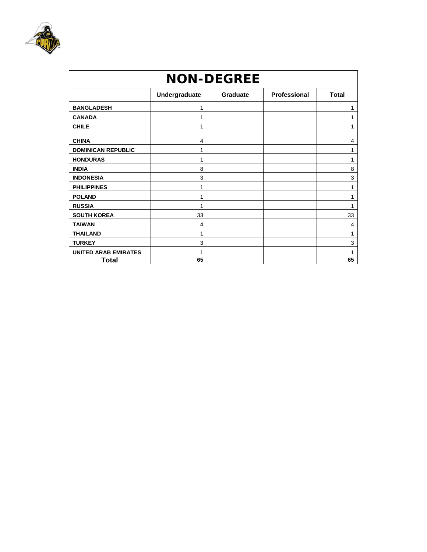

| <b>NON-DEGREE</b>           |               |                 |              |              |  |
|-----------------------------|---------------|-----------------|--------------|--------------|--|
|                             | Undergraduate | <b>Graduate</b> | Professional | <b>Total</b> |  |
| <b>BANGLADESH</b>           | 1             |                 |              |              |  |
| <b>CANADA</b>               | 1             |                 |              |              |  |
| <b>CHILE</b>                | 1             |                 |              |              |  |
| <b>CHINA</b>                | 4             |                 |              | 4            |  |
| <b>DOMINICAN REPUBLIC</b>   | 1             |                 |              |              |  |
| <b>HONDURAS</b>             | 1             |                 |              |              |  |
| <b>INDIA</b>                | 8             |                 |              | 8            |  |
| <b>INDONESIA</b>            | 3             |                 |              | 3            |  |
| <b>PHILIPPINES</b>          | 1             |                 |              |              |  |
| <b>POLAND</b>               | 1             |                 |              | 1            |  |
| <b>RUSSIA</b>               | 1             |                 |              |              |  |
| <b>SOUTH KOREA</b>          | 33            |                 |              | 33           |  |
| <b>TAIWAN</b>               | 4             |                 |              | 4            |  |
| <b>THAILAND</b>             | 1             |                 |              | 1            |  |
| <b>TURKEY</b>               | 3             |                 |              | 3            |  |
| <b>UNITED ARAB EMIRATES</b> | 1             |                 |              | 1            |  |
| <b>Total</b>                | 65            |                 |              | 65           |  |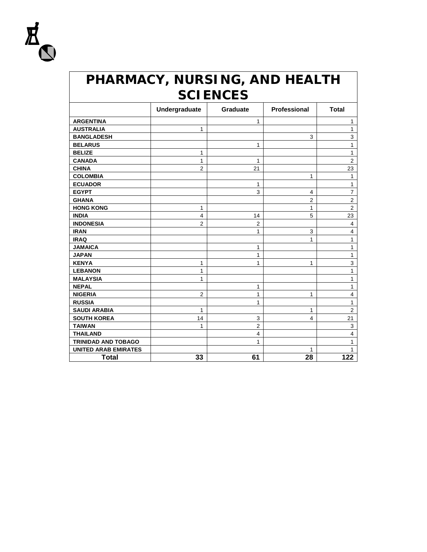

#### *PHARMACY, NURSING, AND HEALTH SCIENCES*

|                             | Undergraduate  | Graduate       | Professional   | <b>Total</b>            |
|-----------------------------|----------------|----------------|----------------|-------------------------|
| <b>ARGENTINA</b>            |                | 1              |                | 1                       |
| <b>AUSTRALIA</b>            | 1              |                |                | 1                       |
| <b>BANGLADESH</b>           |                |                | 3              | 3                       |
| <b>BELARUS</b>              |                | 1              |                | $\mathbf{1}$            |
| <b>BELIZE</b>               | 1              |                |                | $\mathbf{1}$            |
| <b>CANADA</b>               | 1              | 1              |                | $\overline{2}$          |
| <b>CHINA</b>                | $\overline{2}$ | 21             |                | 23                      |
| <b>COLOMBIA</b>             |                |                | 1              | 1                       |
| <b>ECUADOR</b>              |                | 1              |                | 1                       |
| <b>EGYPT</b>                |                | 3              | 4              | $\overline{7}$          |
| <b>GHANA</b>                |                |                | $\overline{c}$ | $\overline{2}$          |
| <b>HONG KONG</b>            | 1              |                | 1              | $\mathbf 2$             |
| <b>INDIA</b>                | $\overline{4}$ | 14             | 5              | 23                      |
| <b>INDONESIA</b>            | $\overline{2}$ | $\overline{c}$ |                | $\overline{\mathbf{4}}$ |
| <b>IRAN</b>                 |                | 1              | 3              | 4                       |
| <b>IRAQ</b>                 |                |                | 1              | 1                       |
| <b>JAMAICA</b>              |                | 1              |                | 1                       |
| <b>JAPAN</b>                |                | 1              |                | 1                       |
| <b>KENYA</b>                | 1              | 1              | 1              | 3                       |
| <b>LEBANON</b>              | 1              |                |                | 1                       |
| <b>MALAYSIA</b>             | 1              |                |                | 1                       |
| <b>NEPAL</b>                |                | 1              |                | 1                       |
| <b>NIGERIA</b>              | $\overline{2}$ | 1              | 1              | 4                       |
| <b>RUSSIA</b>               |                | 1              |                | 1                       |
| <b>SAUDI ARABIA</b>         | 1              |                | 1              | $\overline{2}$          |
| <b>SOUTH KOREA</b>          | 14             | 3              | 4              | 21                      |
| <b>TAIWAN</b>               | 1              | $\overline{2}$ |                | 3                       |
| <b>THAILAND</b>             |                | $\overline{4}$ |                | $\overline{\mathbf{4}}$ |
| <b>TRINIDAD AND TOBAGO</b>  |                | 1              |                | 1                       |
| <b>UNITED ARAB EMIRATES</b> |                |                | 1              | 1                       |
| <b>Total</b>                | 33             | 61             | 28             | 122                     |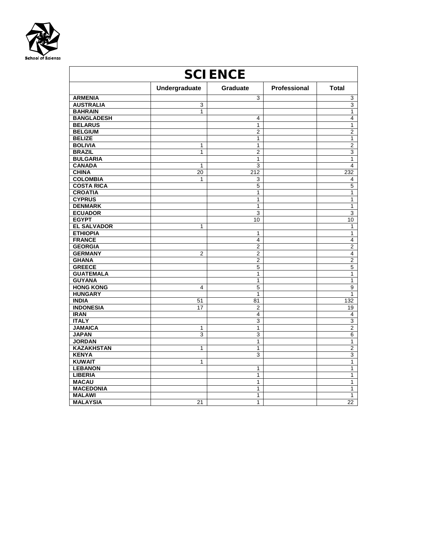

| <b>SCIENCE</b>     |                |                         |              |                         |
|--------------------|----------------|-------------------------|--------------|-------------------------|
|                    | Undergraduate  | Graduate                | Professional | <b>Total</b>            |
| <b>ARMENIA</b>     |                | 3                       |              | $\overline{3}$          |
| <b>AUSTRALIA</b>   | 3              |                         |              | $\overline{3}$          |
| <b>BAHRAIN</b>     | 1              |                         |              | $\mathbf{1}$            |
| <b>BANGLADESH</b>  |                | 4                       |              | $\overline{4}$          |
| <b>BELARUS</b>     |                | 1                       |              | 1                       |
| <b>BELGIUM</b>     |                | $\overline{2}$          |              | $\overline{2}$          |
| <b>BELIZE</b>      |                | 1                       |              | $\overline{1}$          |
| <b>BOLIVIA</b>     | 1              | $\mathbf{1}$            |              | $\overline{2}$          |
| <b>BRAZIL</b>      | 1              | $\overline{2}$          |              | $\overline{3}$          |
| <b>BULGARIA</b>    |                | 1                       |              | 1                       |
| <b>CANADA</b>      | 1              | 3                       |              | 4                       |
| <b>CHINA</b>       | 20             | 212                     |              | 232                     |
| <b>COLOMBIA</b>    | 1              | 3                       |              | 4                       |
| <b>COSTA RICA</b>  |                | 5                       |              | $\overline{5}$          |
| <b>CROATIA</b>     |                | $\mathbf{1}$            |              | 1                       |
| <b>CYPRUS</b>      |                | $\mathbf{1}$            |              | $\mathbf{1}$            |
| <b>DENMARK</b>     |                | 1                       |              | 1                       |
| <b>ECUADOR</b>     |                | 3                       |              | $\overline{3}$          |
| <b>EGYPT</b>       |                | 10                      |              | 10                      |
| <b>EL SALVADOR</b> | 1              |                         |              | 1                       |
| <b>ETHIOPIA</b>    |                | 1                       |              | 1                       |
| <b>FRANCE</b>      |                | $\overline{\mathbf{4}}$ |              | $\overline{4}$          |
| <b>GEORGIA</b>     |                | $\overline{2}$          |              | $\overline{2}$          |
| <b>GERMANY</b>     | $\overline{2}$ | $\overline{2}$          |              | $\overline{\mathbf{4}}$ |
| <b>GHANA</b>       |                | $\overline{2}$          |              | $\overline{2}$          |
| <b>GREECE</b>      |                | $\overline{5}$          |              | 5                       |
| <b>GUATEMALA</b>   |                | 1                       |              | $\mathbf{1}$            |
| <b>GUYANA</b>      |                | 1                       |              | $\mathbf{1}$            |
| <b>HONG KONG</b>   | $\overline{4}$ | $\overline{5}$          |              | $\overline{9}$          |
| <b>HUNGARY</b>     |                | 1                       |              | 1                       |
| <b>INDIA</b>       | 51             | 81                      |              | 132                     |
| <b>INDONESIA</b>   | 17             | $\overline{2}$          |              | 19                      |
| <b>IRAN</b>        |                | $\overline{\mathbf{4}}$ |              | 4                       |
| <b>ITALY</b>       |                | $\overline{3}$          |              | 3                       |
| <b>JAMAICA</b>     | $\mathbf{1}$   | $\mathbf{1}$            |              | $\overline{2}$          |
| <b>JAPAN</b>       | 3              | $\overline{3}$          |              | $6\overline{6}$         |
| <b>JORDAN</b>      |                | $\mathbf{1}$            |              | $\overline{1}$          |
| <b>KAZAKHSTAN</b>  | 1              | 1                       |              | $\overline{2}$          |
| <b>KENYA</b>       |                | 3                       |              | $\overline{3}$          |
| <b>KUWAIT</b>      | 1              |                         |              | $\overline{1}$          |
| <b>LEBANON</b>     |                | 1                       |              | $\mathbf{1}$            |
| <b>LIBERIA</b>     |                | 1                       |              | 1                       |
| <b>MACAU</b>       |                | 1                       |              | $\mathbf{1}$            |
| <b>MACEDONIA</b>   |                | 1                       |              | 1                       |
| <b>MALAWI</b>      |                | 1                       |              | $\mathbf{1}$            |
| <b>MALAYSIA</b>    | 21             | $\mathbf{1}$            |              | 22                      |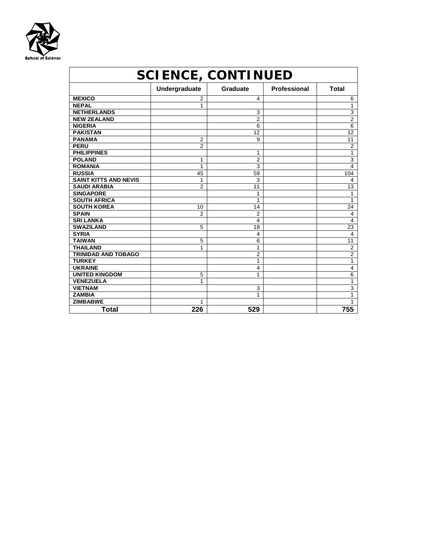

| <b>SCIENCE, CONTINUED</b>    |                |                         |              |                |
|------------------------------|----------------|-------------------------|--------------|----------------|
|                              | Undergraduate  | Graduate                | Professional | <b>Total</b>   |
| <b>MEXICO</b>                | 2              | 4                       |              | 6              |
| <b>NEPAL</b>                 | 1              |                         |              | 1              |
| <b>NETHERLANDS</b>           |                | 3                       |              | 3              |
| <b>NEW ZEALAND</b>           |                | $\overline{2}$          |              | $\overline{2}$ |
| <b>NIGERIA</b>               |                | 6                       |              | 6              |
| <b>PAKISTAN</b>              |                | 12                      |              | 12             |
| <b>PANAMA</b>                | 2              | 9                       |              | 11             |
| <b>PERU</b>                  | $\overline{2}$ |                         |              | 2              |
| <b>PHILIPPINES</b>           |                | 1                       |              | 1              |
| <b>POLAND</b>                | 1              | $\overline{2}$          |              | 3              |
| <b>ROMANIA</b>               | 1              | 3                       |              | 4              |
| <b>RUSSIA</b>                | 45             | 59                      |              | 104            |
| <b>SAINT KITTS AND NEVIS</b> | 1              | 3                       |              | 4              |
| <b>SAUDI ARABIA</b>          | $\overline{2}$ | 11                      |              | 13             |
| <b>SINGAPORE</b>             |                | 1                       |              | 1              |
| <b>SOUTH AFRICA</b>          |                | 1                       |              | 1              |
| <b>SOUTH KOREA</b>           | 10             | 14                      |              | 24             |
| <b>SPAIN</b>                 | 2              | $\overline{2}$          |              | 4              |
| <b>SRI LANKA</b>             |                | $\overline{\mathbf{4}}$ |              | 4              |
| <b>SWAZILAND</b>             | 5              | 18                      |              | 23             |
| <b>SYRIA</b>                 |                | 4                       |              | 4              |
| <b>TAIWAN</b>                | 5              | 6                       |              | 11             |
| <b>THAILAND</b>              | 1              | 1                       |              | 2              |
| <b>TRINIDAD AND TOBAGO</b>   |                | 2                       |              | 2              |
| <b>TURKEY</b>                |                | 1                       |              | 1              |
| <b>UKRAINE</b>               |                | 4                       |              | 4              |
| <b>UNITED KINGDOM</b>        | 5              | 1                       |              | 6              |
| <b>VENEZUELA</b>             | 1              |                         |              | 1              |
| <b>VIETNAM</b>               |                | 3                       |              | 3              |
| <b>ZAMBIA</b>                |                | 1                       |              | 1              |
| <b>ZIMBABWE</b>              | 1              |                         |              | 1              |
| Total                        | 226            | 529                     |              | 755            |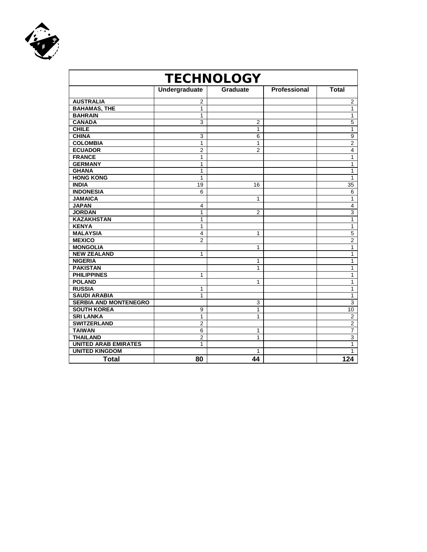

| <b>TECHNOLOGY</b>            |                |                 |              |                |
|------------------------------|----------------|-----------------|--------------|----------------|
|                              | Undergraduate  | <b>Graduate</b> | Professional | <b>Total</b>   |
| <b>AUSTRALIA</b>             | 2              |                 |              | $\overline{c}$ |
| <b>BAHAMAS, THE</b>          | 1              |                 |              | 1              |
| <b>BAHRAIN</b>               | 1              |                 |              | 1              |
| <b>CANADA</b>                | 3              | $\overline{c}$  |              | $\overline{5}$ |
| <b>CHILE</b>                 |                | 1               |              | 1              |
| <b>CHINA</b>                 | 3              | 6               |              | 9              |
| <b>COLOMBIA</b>              | 1              | 1               |              | $\overline{2}$ |
| <b>ECUADOR</b>               | 2              | $\overline{2}$  |              | 4              |
| <b>FRANCE</b>                | 1              |                 |              | 1              |
| <b>GERMANY</b>               | 1              |                 |              | 1              |
| <b>GHANA</b>                 | 1              |                 |              | 1              |
| <b>HONG KONG</b>             | 1              |                 |              | 1              |
| <b>INDIA</b>                 | 19             | 16              |              | 35             |
| <b>INDONESIA</b>             | 6              |                 |              | 6              |
| <b>JAMAICA</b>               |                | 1               |              | $\mathbf{1}$   |
| <b>JAPAN</b>                 | 4              |                 |              | $\overline{4}$ |
| <b>JORDAN</b>                | 1              | $\overline{2}$  |              | 3              |
| <b>KAZAKHSTAN</b>            | 1              |                 |              | $\mathbf{1}$   |
| <b>KENYA</b>                 | 1              |                 |              | $\mathbf{1}$   |
| <b>MALAYSIA</b>              | 4              | 1               |              | $\overline{5}$ |
| <b>MEXICO</b>                | $\overline{2}$ |                 |              | $\overline{2}$ |
| <b>MONGOLIA</b>              |                | 1               |              | $\mathbf{1}$   |
| <b>NEW ZEALAND</b>           | 1              |                 |              | 1              |
| <b>NIGERIA</b>               |                | 1               |              | $\overline{1}$ |
| <b>PAKISTAN</b>              |                | 1               |              | 1              |
| <b>PHILIPPINES</b>           | 1              |                 |              | 1              |
| <b>POLAND</b>                |                | 1               |              | $\mathbf{1}$   |
| <b>RUSSIA</b>                | 1              |                 |              | $\mathbf{1}$   |
| <b>SAUDI ARABIA</b>          | 1              |                 |              | $\mathbf{1}$   |
| <b>SERBIA AND MONTENEGRO</b> |                | 3               |              | $\overline{3}$ |
| <b>SOUTH KOREA</b>           | 9              | 1               |              | 10             |
| <b>SRI LANKA</b>             | 1              | 1               |              | $\overline{2}$ |
| <b>SWITZERLAND</b>           | $\overline{2}$ |                 |              | $\overline{2}$ |
| <b>TAIWAN</b>                | 6              | 1               |              | $\overline{7}$ |
| <b>THAILAND</b>              | 2              | 1               |              | $\overline{3}$ |
| <b>UNITED ARAB EMIRATES</b>  | 1              |                 |              | $\mathbf{1}$   |
| <b>UNITED KINGDOM</b>        |                | 1               |              | 1              |
| <b>Total</b>                 | 80             | 44              |              | 124            |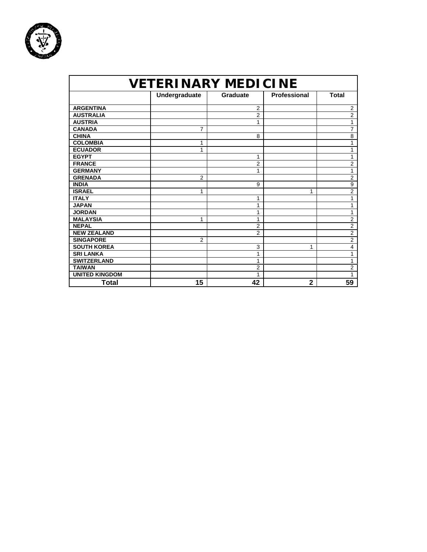

| <b>VETERINARY MEDICINE</b> |                |                 |                     |                |
|----------------------------|----------------|-----------------|---------------------|----------------|
|                            | Undergraduate  | <b>Graduate</b> | <b>Professional</b> | <b>Total</b>   |
| <b>ARGENTINA</b>           |                | 2               |                     | $\overline{2}$ |
| <b>AUSTRALIA</b>           |                | $\overline{2}$  |                     | $\overline{2}$ |
| <b>AUSTRIA</b>             |                | 1               |                     | 1              |
| <b>CANADA</b>              | 7              |                 |                     | 7              |
| <b>CHINA</b>               |                | 8               |                     | 8              |
| <b>COLOMBIA</b>            | 1              |                 |                     | 1              |
| <b>ECUADOR</b>             | 1              |                 |                     | 1              |
| <b>EGYPT</b>               |                | 1               |                     | 1              |
| <b>FRANCE</b>              |                | $\overline{2}$  |                     | $\overline{2}$ |
| <b>GERMANY</b>             |                | 1               |                     | 1              |
| <b>GRENADA</b>             | $\overline{2}$ |                 |                     | $\overline{2}$ |
| <b>INDIA</b>               |                | 9               |                     | 9              |
| <b>ISRAEL</b>              | 1              |                 | 1                   | $\overline{2}$ |
| <b>ITALY</b>               |                | 1               |                     | 1              |
| <b>JAPAN</b>               |                | 1               |                     | 1              |
| <b>JORDAN</b>              |                | 1               |                     | 1              |
| <b>MALAYSIA</b>            | 1              | 1               |                     | $\overline{2}$ |
| <b>NEPAL</b>               |                | $\overline{2}$  |                     | $\overline{c}$ |
| <b>NEW ZEALAND</b>         |                | $\overline{2}$  |                     | $\overline{2}$ |
| <b>SINGAPORE</b>           | 2              |                 |                     | $\overline{c}$ |
| <b>SOUTH KOREA</b>         |                | 3               | 1                   | 4              |
| <b>SRI LANKA</b>           |                | 1               |                     | 1              |
| <b>SWITZERLAND</b>         |                | 1               |                     | $\mathbf{1}$   |
| <b>TAIWAN</b>              |                | $\overline{2}$  |                     | $\overline{2}$ |
| <b>UNITED KINGDOM</b>      |                | 1               |                     | 1              |
| Total                      | 15             | 42              | $\mathbf{2}$        | 59             |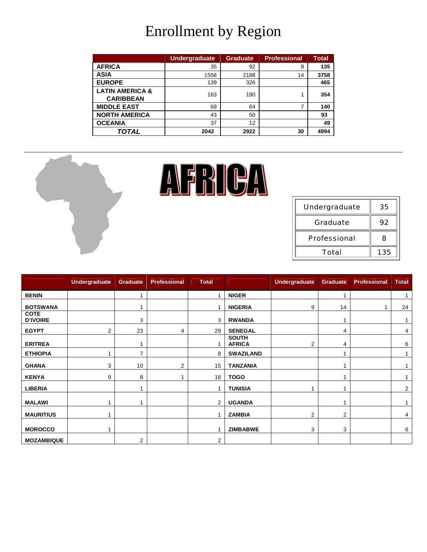## Enrollment by Region

|                            | <b>Undergraduate</b> | <b>Graduate</b> | <b>Professional</b> | <b>Total</b> |
|----------------------------|----------------------|-----------------|---------------------|--------------|
| <b>AFRICA</b>              | 35                   | 92              | 8                   | 135          |
| <b>ASIA</b>                | 1556                 | 2188            | 14                  | 3758         |
| <b>EUROPE</b>              | 139                  | 326             |                     | 465          |
| <b>LATIN AMERICA &amp;</b> | 163                  | 190             |                     | 354          |
| <b>CARIBBEAN</b>           |                      |                 |                     |              |
| <b>MIDDLE EAST</b>         | 69                   | 64              |                     | 140          |
| <b>NORTH AMERICA</b>       | 43                   | 50              |                     | 93           |
| <b>OCEANIA</b>             | 37                   | 12              |                     | 49           |
| TOTAL                      | 2042                 | 2922            | 30                  | 4994         |



|                                | <b>Undergraduate</b> | Graduate       | <b>Professional</b> | <b>Total</b>   |                               | <b>Undergraduate</b> | <b>Graduate</b> | <b>Professional</b> | <b>Total</b> |
|--------------------------------|----------------------|----------------|---------------------|----------------|-------------------------------|----------------------|-----------------|---------------------|--------------|
| <b>BENIN</b>                   |                      | 4              |                     |                | <b>NIGER</b>                  |                      |                 |                     |              |
| <b>BOTSWANA</b>                |                      |                |                     |                | <b>NIGERIA</b>                | 9                    | 14              |                     | 24           |
| <b>COTE</b><br><b>D'IVOIRE</b> |                      | 3              |                     | 3              | <b>RWANDA</b>                 |                      |                 |                     |              |
| <b>EGYPT</b>                   | 2                    | 23             | 4                   | 29             | <b>SENEGAL</b>                |                      | 4               |                     | 4            |
| <b>ERITREA</b>                 |                      |                |                     |                | <b>SOUTH</b><br><b>AFRICA</b> | 2                    | 4               |                     | 6            |
| <b>ETHIOPIA</b>                |                      | $\overline{7}$ |                     | 8              | <b>SWAZILAND</b>              |                      |                 |                     |              |
| <b>GHANA</b>                   | 3                    | 10             | 2                   | 15             | <b>TANZANIA</b>               |                      |                 |                     |              |
| <b>KENYA</b>                   | 9                    | 8              |                     | 18             | <b>TOGO</b>                   |                      |                 |                     |              |
| <b>LIBERIA</b>                 |                      |                |                     |                | <b>TUNISIA</b>                |                      |                 |                     | 2            |
| <b>MALAWI</b>                  |                      |                |                     | $\overline{2}$ | <b>UGANDA</b>                 |                      |                 |                     |              |
| <b>MAURITIUS</b>               |                      |                |                     |                | <b>ZAMBIA</b>                 | 2                    | 2               |                     | 4            |
| <b>MOROCCO</b>                 |                      |                |                     |                | <b>ZIMBABWE</b>               | 3                    | 3               |                     | 6            |
| <b>MOZAMBIQUE</b>              |                      | $\overline{2}$ |                     | 2              |                               |                      |                 |                     |              |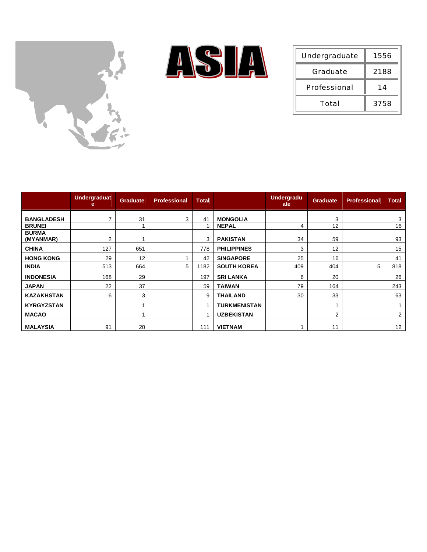



| Undergraduate       | 1556 |
|---------------------|------|
| Graduate            | 2188 |
| <b>Professional</b> | 14   |
| Total               | 3758 |

|                           | <b>Undergraduat</b><br>е | <b>Graduate</b> | <b>Professional</b> | <b>Total</b> |                     | <b>Undergradu</b><br>ate | Graduate | <b>Professional</b> | <b>Total</b>   |
|---------------------------|--------------------------|-----------------|---------------------|--------------|---------------------|--------------------------|----------|---------------------|----------------|
| <b>BANGLADESH</b>         |                          | 31              | 3                   | 41           | <b>MONGOLIA</b>     |                          | 3        |                     | 3              |
| <b>BRUNEI</b>             |                          |                 |                     | -1           | <b>NEPAL</b>        | 4                        | 12       |                     | 16             |
| <b>BURMA</b><br>(MYANMAR) | 2                        |                 |                     | 3            | <b>PAKISTAN</b>     | 34                       | 59       |                     | 93             |
| <b>CHINA</b>              | 127                      | 651             |                     | 778          | <b>PHILIPPINES</b>  | 3                        | 12       |                     | 15             |
| <b>HONG KONG</b>          | 29                       | 12              |                     | 42           | <b>SINGAPORE</b>    | 25                       | 16       |                     | 41             |
| <b>INDIA</b>              | 513                      | 664             | 5                   | 1182         | <b>SOUTH KOREA</b>  | 409                      | 404      | 5                   | 818            |
| <b>INDONESIA</b>          | 168                      | 29              |                     | 197          | <b>SRI LANKA</b>    | 6                        | 20       |                     | 26             |
| <b>JAPAN</b>              | 22                       | 37              |                     | 59           | <b>TAIWAN</b>       | 79                       | 164      |                     | 243            |
| <b>KAZAKHSTAN</b>         | 6                        | 3               |                     | 9            | THAILAND            | 30                       | 33       |                     | 63             |
| <b>KYRGYZSTAN</b>         |                          |                 |                     |              | <b>TURKMENISTAN</b> |                          |          |                     |                |
| <b>MACAO</b>              |                          |                 |                     | 1            | <b>UZBEKISTAN</b>   |                          | 2        |                     | $\overline{2}$ |
| <b>MALAYSIA</b>           | 91                       | 20              |                     | 111          | <b>VIETNAM</b>      |                          | 11       |                     | 12             |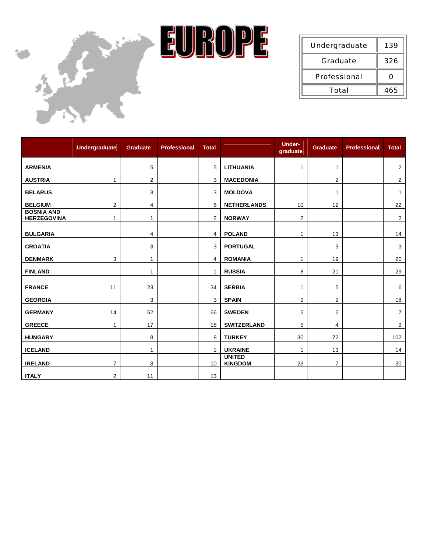



| Undergraduate       | 139 |
|---------------------|-----|
| Graduate            | 326 |
| <b>Professional</b> | n   |
| Total               | 465 |

|                                         | <b>Undergraduate</b> | <b>Graduate</b> | <b>Professional</b> | <b>Total</b> |                                 | <b>Under-</b><br>graduate | <b>Graduate</b> | <b>Professional</b> | <b>Total</b>   |
|-----------------------------------------|----------------------|-----------------|---------------------|--------------|---------------------------------|---------------------------|-----------------|---------------------|----------------|
| <b>ARMENIA</b>                          |                      | 5               |                     | 5            | <b>LITHUANIA</b>                | 1                         | $\mathbf{1}$    |                     | $\mathbf{2}$   |
| <b>AUSTRIA</b>                          | 1                    | 2               |                     | 3            | <b>MACEDONIA</b>                |                           | 2               |                     | $\overline{c}$ |
| <b>BELARUS</b>                          |                      | 3               |                     | 3            | <b>MOLDOVA</b>                  |                           | 1               |                     | $\mathbf{1}$   |
| <b>BELGIUM</b>                          | $\mathbf{2}$         | 4               |                     | 6            | <b>NETHERLANDS</b>              | 10                        | 12              |                     | 22             |
| <b>BOSNIA AND</b><br><b>HERZEGOVINA</b> | $\mathbf{1}$         | 1               |                     | 2            | <b>NORWAY</b>                   | $\overline{2}$            |                 |                     | 2              |
| <b>BULGARIA</b>                         |                      | 4               |                     | 4            | <b>POLAND</b>                   | $\mathbf 1$               | 13              |                     | 14             |
| <b>CROATIA</b>                          |                      | 3               |                     | 3            | <b>PORTUGAL</b>                 |                           | 3               |                     | 3              |
| <b>DENMARK</b>                          | 3                    | 1               |                     | 4            | <b>ROMANIA</b>                  | 1                         | 19              |                     | 20             |
| <b>FINLAND</b>                          |                      | 1               |                     | 1            | <b>RUSSIA</b>                   | 8                         | 21              |                     | 29             |
| <b>FRANCE</b>                           | 11                   | 23              |                     | 34           | <b>SERBIA</b>                   | $\mathbf{1}$              | 5               |                     | 6              |
| <b>GEORGIA</b>                          |                      | 3               |                     | 3            | <b>SPAIN</b>                    | 9                         | 9               |                     | 18             |
| <b>GERMANY</b>                          | 14                   | 52              |                     | 66           | <b>SWEDEN</b>                   | 5                         | $\overline{2}$  |                     | $\overline{7}$ |
| <b>GREECE</b>                           | 1                    | 17              |                     | 18           | <b>SWITZERLAND</b>              | 5                         | 4               |                     | 9              |
| <b>HUNGARY</b>                          |                      | 8               |                     | 8            | <b>TURKEY</b>                   | 30                        | 72              |                     | 102            |
| <b>ICELAND</b>                          |                      | 1               |                     | 1            | <b>UKRAINE</b>                  | 1                         | 13              |                     | 14             |
| <b>IRELAND</b>                          | $\overline{7}$       | 3               |                     | 10           | <b>UNITED</b><br><b>KINGDOM</b> | 23                        | $\overline{7}$  |                     | 30             |
| <b>ITALY</b>                            | 2                    | 11              |                     | 13           |                                 |                           |                 |                     |                |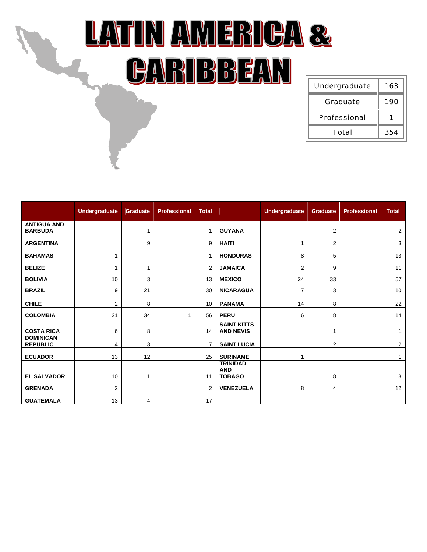## LATIN AMERICA & CARIBBEAN

| Undergraduate       | 163 |
|---------------------|-----|
| Graduate            | 190 |
| <b>Professional</b> |     |
| Total               | 354 |

|                                      | <b>Undergraduate</b> | Graduate | <b>Professional</b> | <b>Total</b>   |                                                | <b>Undergraduate</b> | Graduate | <b>Professional</b> | <b>Total</b>   |
|--------------------------------------|----------------------|----------|---------------------|----------------|------------------------------------------------|----------------------|----------|---------------------|----------------|
| <b>ANTIGUA AND</b><br><b>BARBUDA</b> |                      | 1        |                     |                | <b>GUYANA</b>                                  |                      | 2        |                     | $\overline{2}$ |
| <b>ARGENTINA</b>                     |                      | 9        |                     | 9              | <b>HAITI</b>                                   | 1                    | 2        |                     | 3              |
| <b>BAHAMAS</b>                       | 1                    |          |                     |                | <b>HONDURAS</b>                                | 8                    | 5        |                     | 13             |
| <b>BELIZE</b>                        | 1                    | 1        |                     | $\overline{2}$ | <b>JAMAICA</b>                                 | 2                    | 9        |                     | 11             |
| <b>BOLIVIA</b>                       | 10                   | 3        |                     | 13             | <b>MEXICO</b>                                  | 24                   | 33       |                     | 57             |
| <b>BRAZIL</b>                        | 9                    | 21       |                     | 30             | <b>NICARAGUA</b>                               | $\overline{7}$       | 3        |                     | 10             |
| <b>CHILE</b>                         | 2                    | 8        |                     | 10             | <b>PANAMA</b>                                  | 14                   | 8        |                     | 22             |
| <b>COLOMBIA</b>                      | 21                   | 34       |                     | 56             | <b>PERU</b>                                    | 6                    | 8        |                     | 14             |
| <b>COSTA RICA</b>                    | 6                    | 8        |                     | 14             | <b>SAINT KITTS</b><br><b>AND NEVIS</b>         |                      |          |                     | 1              |
| <b>DOMINICAN</b><br><b>REPUBLIC</b>  | 4                    | 3        |                     | 7              | <b>SAINT LUCIA</b>                             |                      | 2        |                     | $\overline{2}$ |
| <b>ECUADOR</b>                       | 13                   | 12       |                     | 25             | <b>SURINAME</b>                                | 1                    |          |                     | $\mathbf{1}$   |
| <b>EL SALVADOR</b>                   | 10                   | 1        |                     | 11             | <b>TRINIDAD</b><br><b>AND</b><br><b>TOBAGO</b> |                      | 8        |                     | 8              |
| <b>GRENADA</b>                       | $\overline{2}$       |          |                     | $\overline{2}$ | <b>VENEZUELA</b>                               | 8                    | 4        |                     | 12             |
| <b>GUATEMALA</b>                     | 13                   | 4        |                     | 17             |                                                |                      |          |                     |                |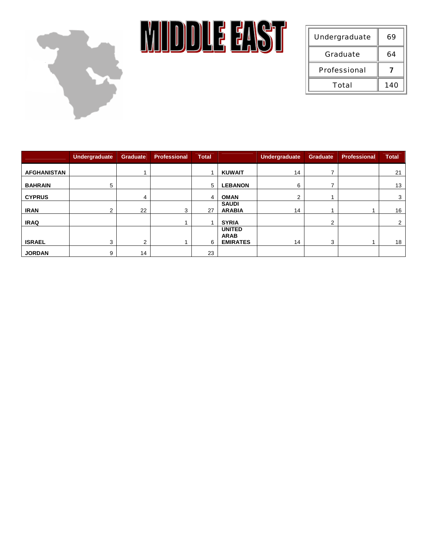

**MIDDLE EAST** 

| Undergraduate       | 69  |
|---------------------|-----|
| Graduate            | 64  |
| <b>Professional</b> |     |
| Total               | 140 |

|                    | Undergraduate | <b>Graduate</b> | <b>Professional</b> | <b>Total</b> |                               | <b>Undergraduate</b> | <b>Graduate</b> | <b>Professional</b> | <b>Total</b>   |
|--------------------|---------------|-----------------|---------------------|--------------|-------------------------------|----------------------|-----------------|---------------------|----------------|
| <b>AFGHANISTAN</b> |               |                 |                     |              | <b>KUWAIT</b>                 | 14                   |                 |                     | 21             |
| <b>BAHRAIN</b>     | 5             |                 |                     | 5            | <b>LEBANON</b>                | 6                    |                 |                     | 13             |
| <b>CYPRUS</b>      |               | 4               |                     | 4            | <b>OMAN</b>                   | $\overline{2}$       |                 |                     | 3              |
| <b>IRAN</b>        | ◠             | 22              | 3                   | 27           | <b>SAUDI</b><br><b>ARABIA</b> | 14                   |                 |                     | 16             |
| <b>IRAQ</b>        |               |                 |                     |              | <b>SYRIA</b>                  |                      | 2               |                     | $\overline{2}$ |
|                    |               |                 |                     |              | <b>UNITED</b><br><b>ARAB</b>  |                      |                 |                     |                |
| <b>ISRAEL</b>      | 3             | $\overline{2}$  |                     | 6            | <b>EMIRATES</b>               | 14                   | 3               |                     | 18             |
| <b>JORDAN</b>      | 9             | 14              |                     | 23           |                               |                      |                 |                     |                |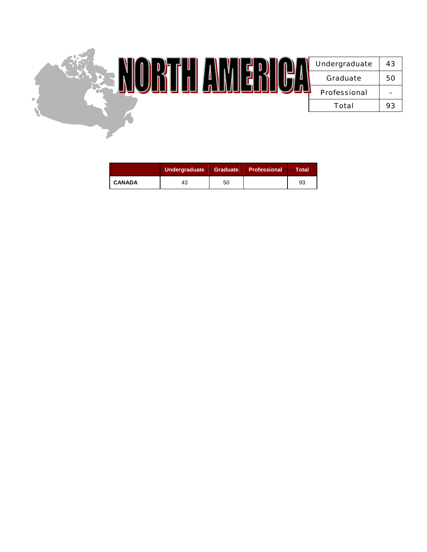

|               | Undergraduate |    | Graduate   Professional | Total |
|---------------|---------------|----|-------------------------|-------|
| <b>CANADA</b> | 43            | 50 |                         | 93    |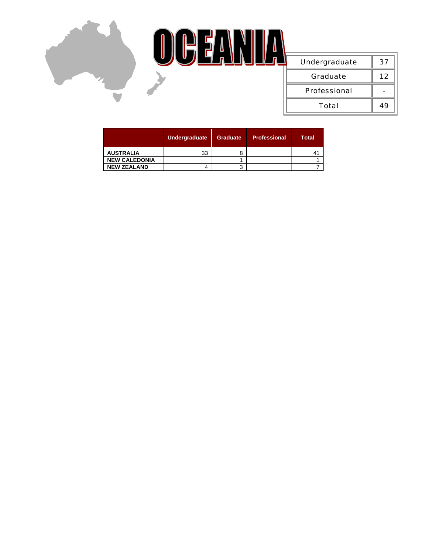

|                      | Undergraduate | <b>Graduate</b> | <b>Professional</b> | <b>Total</b> |
|----------------------|---------------|-----------------|---------------------|--------------|
| <b>AUSTRALIA</b>     | 33            |                 |                     |              |
| <b>NEW CALEDONIA</b> |               |                 |                     |              |
| <b>NEW ZEALAND</b>   |               |                 |                     |              |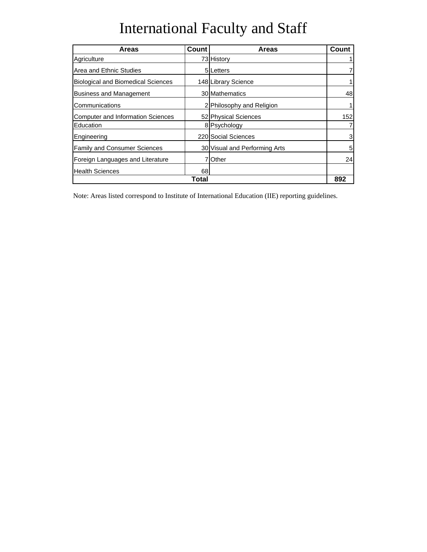## International Faculty and Staff

| <b>Areas</b>                              | <b>Count</b> | <b>Areas</b>                  | Count |
|-------------------------------------------|--------------|-------------------------------|-------|
| Agriculture                               |              | 73 History                    |       |
| Area and Ethnic Studies                   |              | 5ILetters                     |       |
| <b>Biological and Biomedical Sciences</b> |              | 148 Library Science           |       |
| <b>Business and Management</b>            |              | 30 Mathematics                | 48    |
| Communications                            |              | 2 Philosophy and Religion     |       |
| <b>Computer and Information Sciences</b>  |              | 52 Physical Sciences          | 152   |
| Education                                 |              | 8 Psychology                  |       |
| Engineering                               |              | 220 Social Sciences           | 3     |
| <b>Family and Consumer Sciences</b>       |              | 30 Visual and Performing Arts | 5     |
| Foreign Languages and Literature          |              | <b>Other</b>                  | 24    |
| <b>Health Sciences</b>                    | 68           |                               |       |
| Total                                     |              |                               |       |

Note: Areas listed correspond to Institute of International Education (IIE) reporting guidelines.